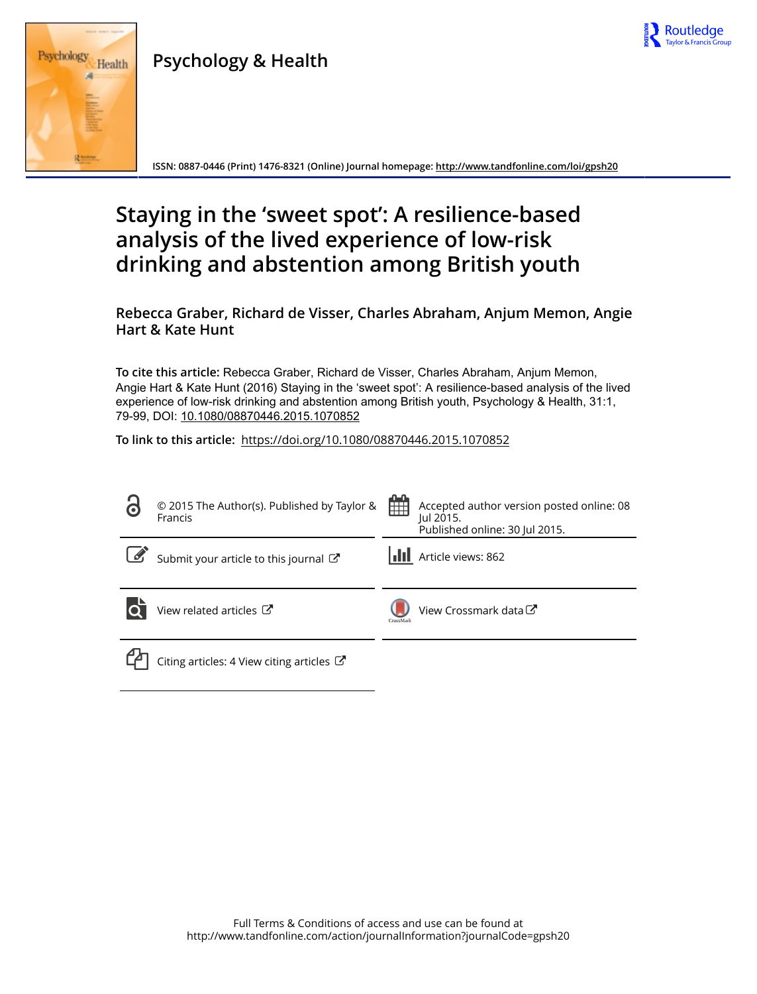

# **Psychology & Health**



**ISSN: 0887-0446 (Print) 1476-8321 (Online) Journal homepage:<http://www.tandfonline.com/loi/gpsh20>**

# **Staying in the 'sweet spot': A resilience-based analysis of the lived experience of low-risk drinking and abstention among British youth**

**Rebecca Graber, Richard de Visser, Charles Abraham, Anjum Memon, Angie Hart & Kate Hunt**

**To cite this article:** Rebecca Graber, Richard de Visser, Charles Abraham, Anjum Memon, Angie Hart & Kate Hunt (2016) Staying in the 'sweet spot': A resilience-based analysis of the lived experience of low-risk drinking and abstention among British youth, Psychology & Health, 31:1, 79-99, DOI: [10.1080/08870446.2015.1070852](http://www.tandfonline.com/action/showCitFormats?doi=10.1080/08870446.2015.1070852)

**To link to this article:** <https://doi.org/10.1080/08870446.2015.1070852>

| 8 | © 2015 The Author(s). Published by Taylor &<br>Francis | 饂<br>Accepted author version posted online: 08<br>Iul 2015.<br>Published online: 30 Jul 2015. |
|---|--------------------------------------------------------|-----------------------------------------------------------------------------------------------|
|   | Submit your article to this journal                    | <b>III</b> Article views: 862                                                                 |
|   | View related articles C                                | View Crossmark data <sup>C</sup><br>CrossMark                                                 |
|   | Citing articles: 4 View citing articles $\mathbb{Z}$   |                                                                                               |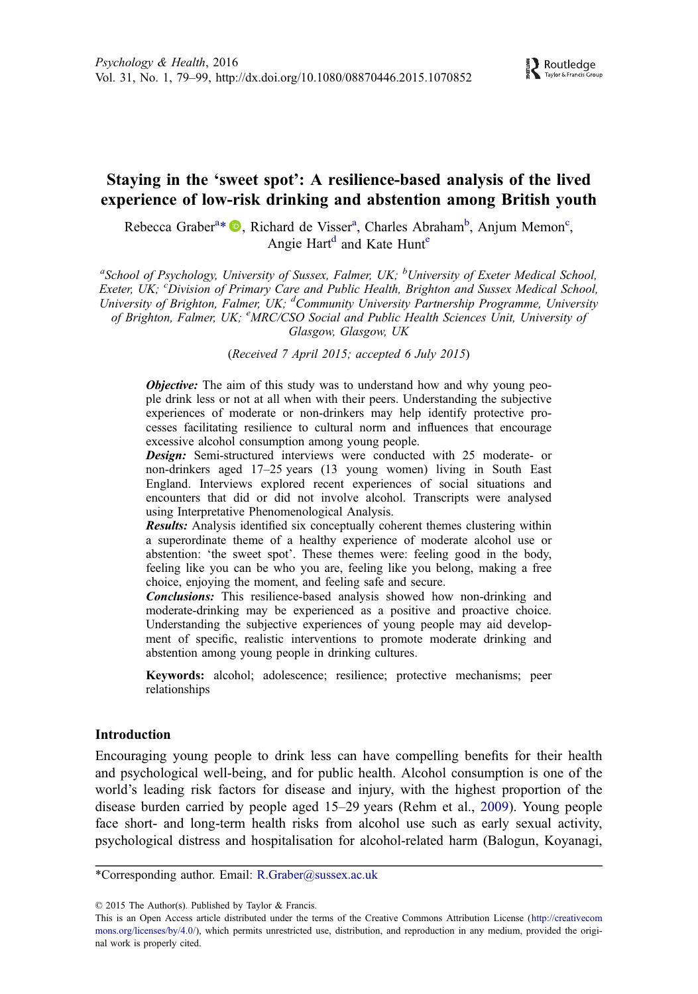# Staying in the 'sweet spot': A resilience-based analysis of the lived experience of low-risk drinking and abstention among British youth

Rebecca Graber<sup>a</sup>\*<sup>®</sup>[,](http://orcid.org/0000-0002-9152-4998) Richard de Visser<sup>a</sup>, Charles Abraham<sup>b</sup>, Anjum Memon<sup>c</sup>, Angie Hart<sup>d</sup> and Kate Hunt<sup>e</sup>

<sup>a</sup>School of Psychology, University of Sussex, Falmer, UK; <sup>b</sup>University of Exeter Medical School, Exeter, UK; <sup>c</sup>Division of Primary Care and Public Health, Brighton and Sussex Medical School, University of Brighton, Falmer, UK; <sup>d</sup>Community University Partnership Programme, University of Brighton, Falmer, UK; <sup>e</sup>MRC/CSO Social and Public Health Sciences Unit, University of Glasgow, Glasgow, UK

(Received 7 April 2015; accepted 6 July 2015)

**Objective:** The aim of this study was to understand how and why young people drink less or not at all when with their peers. Understanding the subjective experiences of moderate or non-drinkers may help identify protective processes facilitating resilience to cultural norm and influences that encourage excessive alcohol consumption among young people.

Design: Semi-structured interviews were conducted with 25 moderate- or non-drinkers aged 17–25 years (13 young women) living in South East England. Interviews explored recent experiences of social situations and encounters that did or did not involve alcohol. Transcripts were analysed using Interpretative Phenomenological Analysis.

Results: Analysis identified six conceptually coherent themes clustering within a superordinate theme of a healthy experience of moderate alcohol use or abstention: 'the sweet spot'. These themes were: feeling good in the body, feeling like you can be who you are, feeling like you belong, making a free choice, enjoying the moment, and feeling safe and secure.

Conclusions: This resilience-based analysis showed how non-drinking and moderate-drinking may be experienced as a positive and proactive choice. Understanding the subjective experiences of young people may aid development of specific, realistic interventions to promote moderate drinking and abstention among young people in drinking cultures.

Keywords: alcohol; adolescence; resilience; protective mechanisms; peer relationships

#### Introduction

Encouraging young people to drink less can have compelling benefits for their health and psychological well-being, and for public health. Alcohol consumption is one of the world's leading risk factors for disease and injury, with the highest proportion of the disease burden carried by people aged 15–29 years (Rehm et al., [2009\)](#page-21-0). Young people face short- and long-term health risks from alcohol use such as early sexual activity, psychological distress and hospitalisation for alcohol-related harm (Balogun, Koyanagi,

\*Corresponding author. Email: [R.Graber@sussex.ac.uk](mailto:R.Graber@sussex.ac.uk)

© 2015 The Author(s). Published by Taylor & Francis.

This is an Open Access article distributed under the terms of the Creative Commons Attribution License [\(http://creativecom](http://creativecommons.org/licenses/by/4.0/) [mons.org/licenses/by/4.0/](http://creativecommons.org/licenses/by/4.0/)), which permits unrestricted use, distribution, and reproduction in any medium, provided the original work is properly cited.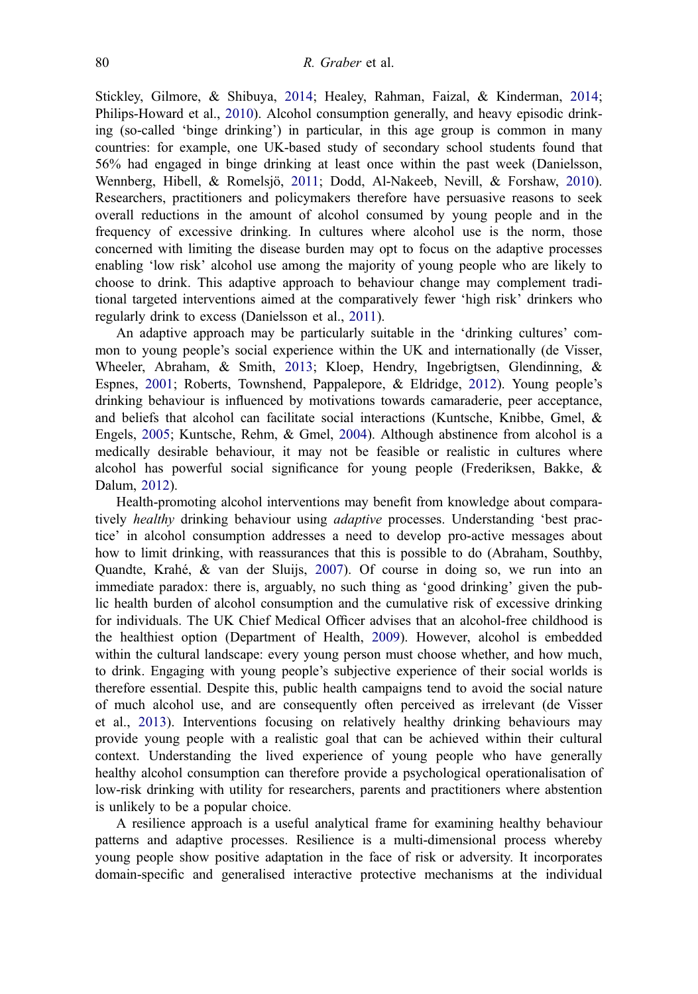Stickley, Gilmore, & Shibuya, [2014](#page-19-0); Healey, Rahman, Faizal, & Kinderman, [2014](#page-20-0); Philips-Howard et al., [2010](#page-20-0)). Alcohol consumption generally, and heavy episodic drinking (so-called 'binge drinking') in particular, in this age group is common in many countries: for example, one UK-based study of secondary school students found that 56% had engaged in binge drinking at least once within the past week (Danielsson, Wennberg, Hibell, & Romelsjö, [2011;](#page-19-0) Dodd, Al-Nakeeb, Nevill, & Forshaw, [2010](#page-19-0)). Researchers, practitioners and policymakers therefore have persuasive reasons to seek overall reductions in the amount of alcohol consumed by young people and in the frequency of excessive drinking. In cultures where alcohol use is the norm, those concerned with limiting the disease burden may opt to focus on the adaptive processes enabling 'low risk' alcohol use among the majority of young people who are likely to choose to drink. This adaptive approach to behaviour change may complement traditional targeted interventions aimed at the comparatively fewer 'high risk' drinkers who regularly drink to excess (Danielsson et al., [2011](#page-19-0)).

An adaptive approach may be particularly suitable in the 'drinking cultures' common to young people's social experience within the UK and internationally (de Visser, Wheeler, Abraham, & Smith, [2013](#page-19-0); Kloep, Hendry, Ingebrigtsen, Glendinning, & Espnes, [2001;](#page-20-0) Roberts, Townshend, Pappalepore, & Eldridge, [2012](#page-21-0)). Young people's drinking behaviour is influenced by motivations towards camaraderie, peer acceptance, and beliefs that alcohol can facilitate social interactions (Kuntsche, Knibbe, Gmel, & Engels, [2005](#page-20-0); Kuntsche, Rehm, & Gmel, [2004\)](#page-20-0). Although abstinence from alcohol is a medically desirable behaviour, it may not be feasible or realistic in cultures where alcohol has powerful social significance for young people (Frederiksen, Bakke, & Dalum, [2012](#page-20-0)).

Health-promoting alcohol interventions may benefit from knowledge about comparatively *healthy* drinking behaviour using *adaptive* processes. Understanding 'best practice' in alcohol consumption addresses a need to develop pro-active messages about how to limit drinking, with reassurances that this is possible to do (Abraham, Southby, Quandte, Krahé, & van der Sluijs, [2007\)](#page-18-0). Of course in doing so, we run into an immediate paradox: there is, arguably, no such thing as 'good drinking' given the public health burden of alcohol consumption and the cumulative risk of excessive drinking for individuals. The UK Chief Medical Officer advises that an alcohol-free childhood is the healthiest option (Department of Health, [2009\)](#page-19-0). However, alcohol is embedded within the cultural landscape: every young person must choose whether, and how much, to drink. Engaging with young people's subjective experience of their social worlds is therefore essential. Despite this, public health campaigns tend to avoid the social nature of much alcohol use, and are consequently often perceived as irrelevant (de Visser et al., [2013\)](#page-19-0). Interventions focusing on relatively healthy drinking behaviours may provide young people with a realistic goal that can be achieved within their cultural context. Understanding the lived experience of young people who have generally healthy alcohol consumption can therefore provide a psychological operationalisation of low-risk drinking with utility for researchers, parents and practitioners where abstention is unlikely to be a popular choice.

A resilience approach is a useful analytical frame for examining healthy behaviour patterns and adaptive processes. Resilience is a multi-dimensional process whereby young people show positive adaptation in the face of risk or adversity. It incorporates domain-specific and generalised interactive protective mechanisms at the individual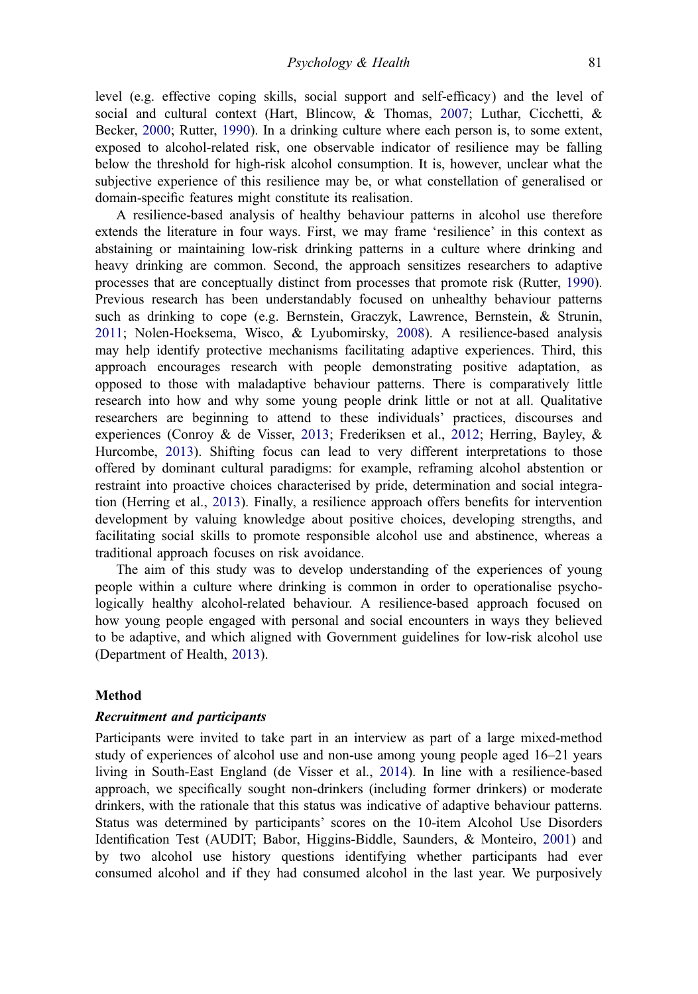level (e.g. effective coping skills, social support and self-efficacy) and the level of social and cultural context (Hart, Blincow, & Thomas, [2007](#page-20-0); Luthar, Cicchetti, & Becker, [2000;](#page-20-0) Rutter, [1990\)](#page-21-0). In a drinking culture where each person is, to some extent, exposed to alcohol-related risk, one observable indicator of resilience may be falling below the threshold for high-risk alcohol consumption. It is, however, unclear what the subjective experience of this resilience may be, or what constellation of generalised or domain-specific features might constitute its realisation.

A resilience-based analysis of healthy behaviour patterns in alcohol use therefore extends the literature in four ways. First, we may frame 'resilience' in this context as abstaining or maintaining low-risk drinking patterns in a culture where drinking and heavy drinking are common. Second, the approach sensitizes researchers to adaptive processes that are conceptually distinct from processes that promote risk (Rutter, [1990](#page-21-0)). Previous research has been understandably focused on unhealthy behaviour patterns such as drinking to cope (e.g. Bernstein, Graczyk, Lawrence, Bernstein, & Strunin, [2011;](#page-19-0) Nolen-Hoeksema, Wisco, & Lyubomirsky, [2008](#page-20-0)). A resilience-based analysis may help identify protective mechanisms facilitating adaptive experiences. Third, this approach encourages research with people demonstrating positive adaptation, as opposed to those with maladaptive behaviour patterns. There is comparatively little research into how and why some young people drink little or not at all. Qualitative researchers are beginning to attend to these individuals' practices, discourses and experiences (Conroy & de Visser, [2013;](#page-19-0) Frederiksen et al., [2012](#page-20-0); Herring, Bayley, & Hurcombe, [2013](#page-20-0)). Shifting focus can lead to very different interpretations to those offered by dominant cultural paradigms: for example, reframing alcohol abstention or restraint into proactive choices characterised by pride, determination and social integration (Herring et al., [2013](#page-20-0)). Finally, a resilience approach offers benefits for intervention development by valuing knowledge about positive choices, developing strengths, and facilitating social skills to promote responsible alcohol use and abstinence, whereas a traditional approach focuses on risk avoidance.

The aim of this study was to develop understanding of the experiences of young people within a culture where drinking is common in order to operationalise psychologically healthy alcohol-related behaviour. A resilience-based approach focused on how young people engaged with personal and social encounters in ways they believed to be adaptive, and which aligned with Government guidelines for low-risk alcohol use (Department of Health, [2013](#page-19-0)).

#### Method

# Recruitment and participants

Participants were invited to take part in an interview as part of a large mixed-method study of experiences of alcohol use and non-use among young people aged 16–21 years living in South-East England (de Visser et al., [2014](#page-19-0)). In line with a resilience-based approach, we specifically sought non-drinkers (including former drinkers) or moderate drinkers, with the rationale that this status was indicative of adaptive behaviour patterns. Status was determined by participants' scores on the 10-item Alcohol Use Disorders Identification Test (AUDIT; Babor, Higgins-Biddle, Saunders, & Monteiro, [2001\)](#page-19-0) and by two alcohol use history questions identifying whether participants had ever consumed alcohol and if they had consumed alcohol in the last year. We purposively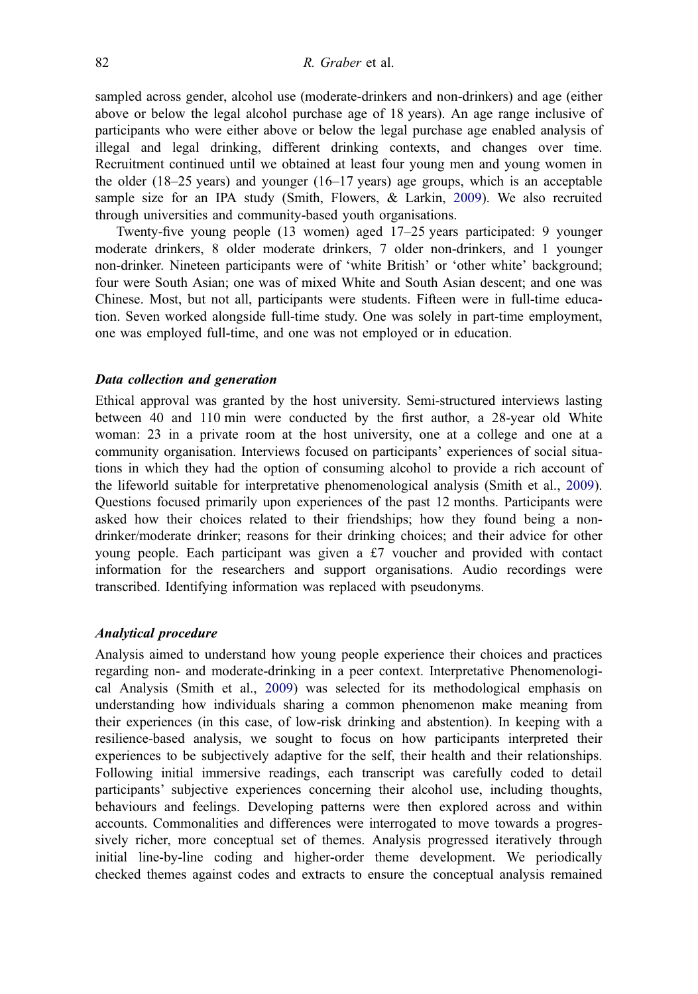sampled across gender, alcohol use (moderate-drinkers and non-drinkers) and age (either above or below the legal alcohol purchase age of 18 years). An age range inclusive of participants who were either above or below the legal purchase age enabled analysis of illegal and legal drinking, different drinking contexts, and changes over time. Recruitment continued until we obtained at least four young men and young women in the older  $(18-25 \text{ years})$  and younger  $(16-17 \text{ years})$  age groups, which is an acceptable sample size for an IPA study (Smith, Flowers, & Larkin, [2009\)](#page-21-0). We also recruited through universities and community-based youth organisations.

Twenty-five young people (13 women) aged 17–25 years participated: 9 younger moderate drinkers, 8 older moderate drinkers, 7 older non-drinkers, and 1 younger non-drinker. Nineteen participants were of 'white British' or 'other white' background; four were South Asian; one was of mixed White and South Asian descent; and one was Chinese. Most, but not all, participants were students. Fifteen were in full-time education. Seven worked alongside full-time study. One was solely in part-time employment, one was employed full-time, and one was not employed or in education.

#### Data collection and generation

Ethical approval was granted by the host university. Semi-structured interviews lasting between 40 and 110 min were conducted by the first author, a 28-year old White woman: 23 in a private room at the host university, one at a college and one at a community organisation. Interviews focused on participants' experiences of social situations in which they had the option of consuming alcohol to provide a rich account of the lifeworld suitable for interpretative phenomenological analysis (Smith et al., [2009](#page-21-0)). Questions focused primarily upon experiences of the past 12 months. Participants were asked how their choices related to their friendships; how they found being a nondrinker/moderate drinker; reasons for their drinking choices; and their advice for other young people. Each participant was given a £7 voucher and provided with contact information for the researchers and support organisations. Audio recordings were transcribed. Identifying information was replaced with pseudonyms.

# Analytical procedure

Analysis aimed to understand how young people experience their choices and practices regarding non- and moderate-drinking in a peer context. Interpretative Phenomenological Analysis (Smith et al., [2009](#page-21-0)) was selected for its methodological emphasis on understanding how individuals sharing a common phenomenon make meaning from their experiences (in this case, of low-risk drinking and abstention). In keeping with a resilience-based analysis, we sought to focus on how participants interpreted their experiences to be subjectively adaptive for the self, their health and their relationships. Following initial immersive readings, each transcript was carefully coded to detail participants' subjective experiences concerning their alcohol use, including thoughts, behaviours and feelings. Developing patterns were then explored across and within accounts. Commonalities and differences were interrogated to move towards a progressively richer, more conceptual set of themes. Analysis progressed iteratively through initial line-by-line coding and higher-order theme development. We periodically checked themes against codes and extracts to ensure the conceptual analysis remained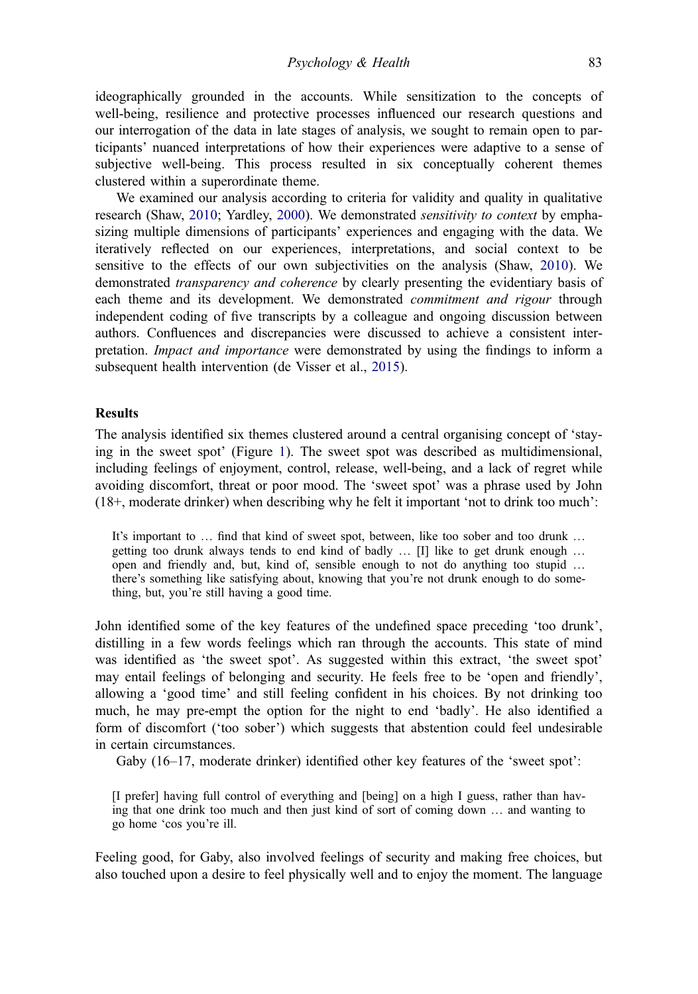ideographically grounded in the accounts. While sensitization to the concepts of well-being, resilience and protective processes influenced our research questions and our interrogation of the data in late stages of analysis, we sought to remain open to participants' nuanced interpretations of how their experiences were adaptive to a sense of subjective well-being. This process resulted in six conceptually coherent themes clustered within a superordinate theme.

We examined our analysis according to criteria for validity and quality in qualitative research (Shaw, [2010;](#page-21-0) Yardley, [2000\)](#page-21-0). We demonstrated *sensitivity to context* by emphasizing multiple dimensions of participants' experiences and engaging with the data. We iteratively reflected on our experiences, interpretations, and social context to be sensitive to the effects of our own subjectivities on the analysis (Shaw, [2010\)](#page-21-0). We demonstrated *transparency and coherence* by clearly presenting the evidentiary basis of each theme and its development. We demonstrated *commitment and rigour* through independent coding of five transcripts by a colleague and ongoing discussion between authors. Confluences and discrepancies were discussed to achieve a consistent interpretation. Impact and importance were demonstrated by using the findings to inform a subsequent health intervention (de Visser et al., [2015\)](#page-19-0).

#### Results

The analysis identified six themes clustered around a central organising concept of 'staying in the sweet spot' (Figure [1](#page-6-0)). The sweet spot was described as multidimensional, including feelings of enjoyment, control, release, well-being, and a lack of regret while avoiding discomfort, threat or poor mood. The 'sweet spot' was a phrase used by John (18+, moderate drinker) when describing why he felt it important 'not to drink too much':

It's important to … find that kind of sweet spot, between, like too sober and too drunk … getting too drunk always tends to end kind of badly … [I] like to get drunk enough … open and friendly and, but, kind of, sensible enough to not do anything too stupid … there's something like satisfying about, knowing that you're not drunk enough to do something, but, you're still having a good time.

John identified some of the key features of the undefined space preceding 'too drunk', distilling in a few words feelings which ran through the accounts. This state of mind was identified as 'the sweet spot'. As suggested within this extract, 'the sweet spot' may entail feelings of belonging and security. He feels free to be 'open and friendly', allowing a 'good time' and still feeling confident in his choices. By not drinking too much, he may pre-empt the option for the night to end 'badly'. He also identified a form of discomfort ('too sober') which suggests that abstention could feel undesirable in certain circumstances.

Gaby (16–17, moderate drinker) identified other key features of the 'sweet spot':

[I prefer] having full control of everything and [being] on a high I guess, rather than having that one drink too much and then just kind of sort of coming down … and wanting to go home 'cos you're ill.

Feeling good, for Gaby, also involved feelings of security and making free choices, but also touched upon a desire to feel physically well and to enjoy the moment. The language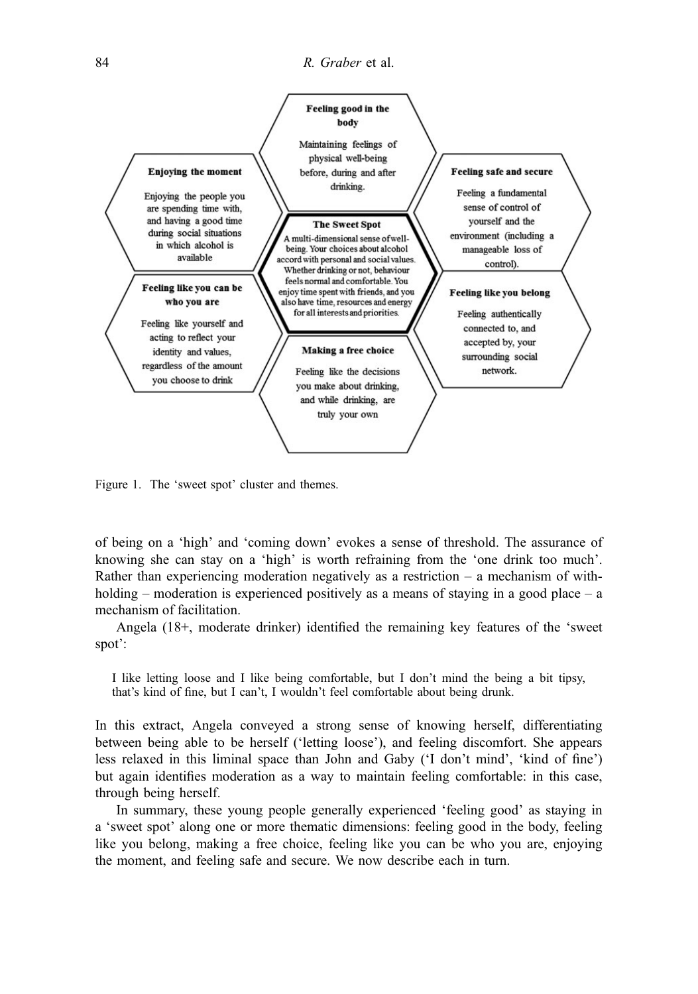<span id="page-6-0"></span>

Figure 1. The 'sweet spot' cluster and themes.

of being on a 'high' and 'coming down' evokes a sense of threshold. The assurance of knowing she can stay on a 'high' is worth refraining from the 'one drink too much'. Rather than experiencing moderation negatively as a restriction – a mechanism of withholding – moderation is experienced positively as a means of staying in a good place – a mechanism of facilitation.

Angela (18+, moderate drinker) identified the remaining key features of the 'sweet spot':

I like letting loose and I like being comfortable, but I don't mind the being a bit tipsy, that's kind of fine, but I can't, I wouldn't feel comfortable about being drunk.

In this extract, Angela conveyed a strong sense of knowing herself, differentiating between being able to be herself ('letting loose'), and feeling discomfort. She appears less relaxed in this liminal space than John and Gaby ('I don't mind', 'kind of fine') but again identifies moderation as a way to maintain feeling comfortable: in this case, through being herself.

In summary, these young people generally experienced 'feeling good' as staying in a 'sweet spot' along one or more thematic dimensions: feeling good in the body, feeling like you belong, making a free choice, feeling like you can be who you are, enjoying the moment, and feeling safe and secure. We now describe each in turn.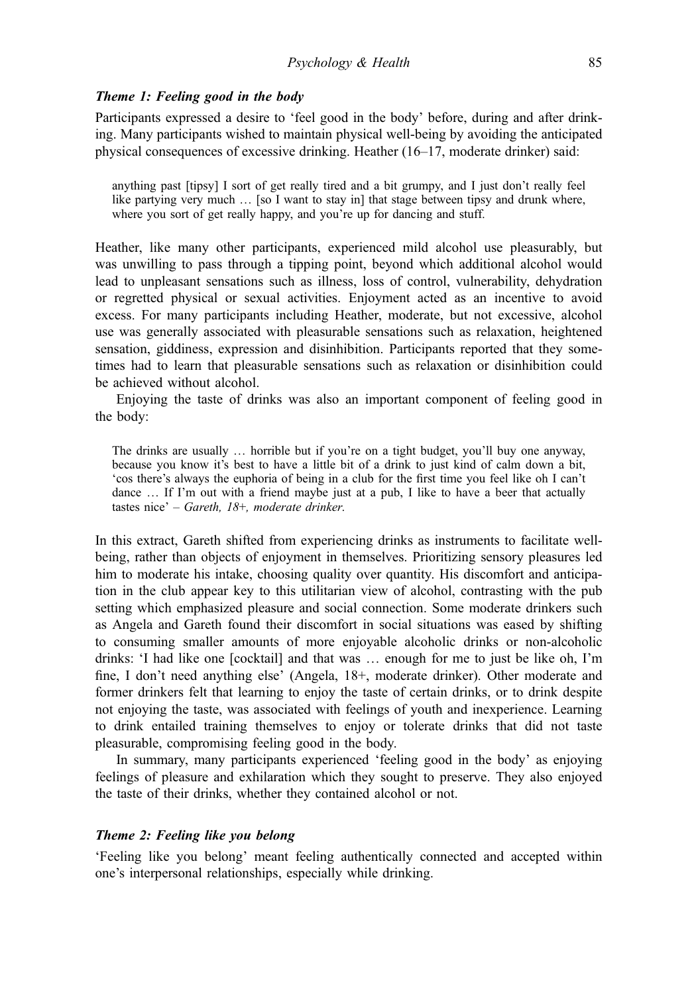# Theme 1: Feeling good in the body

Participants expressed a desire to 'feel good in the body' before, during and after drinking. Many participants wished to maintain physical well-being by avoiding the anticipated physical consequences of excessive drinking. Heather (16–17, moderate drinker) said:

anything past [tipsy] I sort of get really tired and a bit grumpy, and I just don't really feel like partying very much … [so I want to stay in] that stage between tipsy and drunk where, where you sort of get really happy, and you're up for dancing and stuff.

Heather, like many other participants, experienced mild alcohol use pleasurably, but was unwilling to pass through a tipping point, beyond which additional alcohol would lead to unpleasant sensations such as illness, loss of control, vulnerability, dehydration or regretted physical or sexual activities. Enjoyment acted as an incentive to avoid excess. For many participants including Heather, moderate, but not excessive, alcohol use was generally associated with pleasurable sensations such as relaxation, heightened sensation, giddiness, expression and disinhibition. Participants reported that they sometimes had to learn that pleasurable sensations such as relaxation or disinhibition could be achieved without alcohol.

Enjoying the taste of drinks was also an important component of feeling good in the body:

The drinks are usually … horrible but if you're on a tight budget, you'll buy one anyway, because you know it's best to have a little bit of a drink to just kind of calm down a bit, 'cos there's always the euphoria of being in a club for the first time you feel like oh I can't dance ... If I'm out with a friend maybe just at a pub, I like to have a beer that actually tastes nice' – Gareth, 18+, moderate drinker.

In this extract, Gareth shifted from experiencing drinks as instruments to facilitate wellbeing, rather than objects of enjoyment in themselves. Prioritizing sensory pleasures led him to moderate his intake, choosing quality over quantity. His discomfort and anticipation in the club appear key to this utilitarian view of alcohol, contrasting with the pub setting which emphasized pleasure and social connection. Some moderate drinkers such as Angela and Gareth found their discomfort in social situations was eased by shifting to consuming smaller amounts of more enjoyable alcoholic drinks or non-alcoholic drinks: 'I had like one [cocktail] and that was … enough for me to just be like oh, I'm fine, I don't need anything else' (Angela, 18+, moderate drinker). Other moderate and former drinkers felt that learning to enjoy the taste of certain drinks, or to drink despite not enjoying the taste, was associated with feelings of youth and inexperience. Learning to drink entailed training themselves to enjoy or tolerate drinks that did not taste pleasurable, compromising feeling good in the body.

In summary, many participants experienced 'feeling good in the body' as enjoying feelings of pleasure and exhilaration which they sought to preserve. They also enjoyed the taste of their drinks, whether they contained alcohol or not.

# Theme 2: Feeling like you belong

'Feeling like you belong' meant feeling authentically connected and accepted within one's interpersonal relationships, especially while drinking.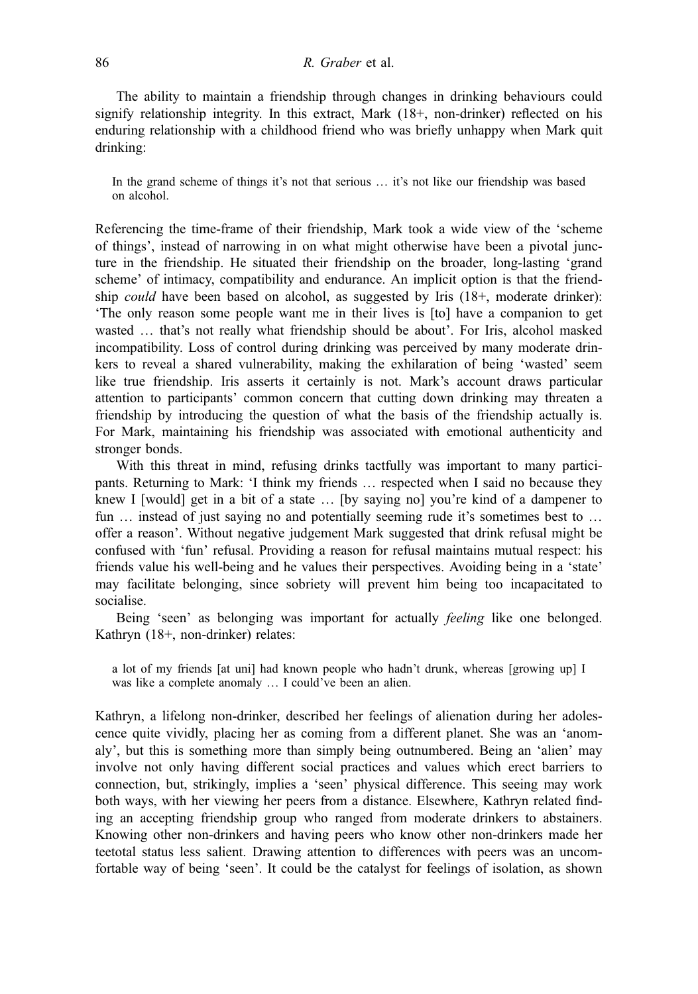The ability to maintain a friendship through changes in drinking behaviours could signify relationship integrity. In this extract, Mark (18+, non-drinker) reflected on his enduring relationship with a childhood friend who was briefly unhappy when Mark quit drinking:

In the grand scheme of things it's not that serious … it's not like our friendship was based on alcohol.

Referencing the time-frame of their friendship, Mark took a wide view of the 'scheme of things', instead of narrowing in on what might otherwise have been a pivotal juncture in the friendship. He situated their friendship on the broader, long-lasting 'grand scheme' of intimacy, compatibility and endurance. An implicit option is that the friendship *could* have been based on alcohol, as suggested by Iris (18+, moderate drinker): 'The only reason some people want me in their lives is [to] have a companion to get wasted … that's not really what friendship should be about'. For Iris, alcohol masked incompatibility. Loss of control during drinking was perceived by many moderate drinkers to reveal a shared vulnerability, making the exhilaration of being 'wasted' seem like true friendship. Iris asserts it certainly is not. Mark's account draws particular attention to participants' common concern that cutting down drinking may threaten a friendship by introducing the question of what the basis of the friendship actually is. For Mark, maintaining his friendship was associated with emotional authenticity and stronger bonds.

With this threat in mind, refusing drinks tactfully was important to many participants. Returning to Mark: 'I think my friends … respected when I said no because they knew I [would] get in a bit of a state … [by saying no] you're kind of a dampener to fun ... instead of just saying no and potentially seeming rude it's sometimes best to ... offer a reason'. Without negative judgement Mark suggested that drink refusal might be confused with 'fun' refusal. Providing a reason for refusal maintains mutual respect: his friends value his well-being and he values their perspectives. Avoiding being in a 'state' may facilitate belonging, since sobriety will prevent him being too incapacitated to socialise.

Being 'seen' as belonging was important for actually *feeling* like one belonged. Kathryn (18+, non-drinker) relates:

a lot of my friends [at uni] had known people who hadn't drunk, whereas [growing up] I was like a complete anomaly … I could've been an alien.

Kathryn, a lifelong non-drinker, described her feelings of alienation during her adolescence quite vividly, placing her as coming from a different planet. She was an 'anomaly', but this is something more than simply being outnumbered. Being an 'alien' may involve not only having different social practices and values which erect barriers to connection, but, strikingly, implies a 'seen' physical difference. This seeing may work both ways, with her viewing her peers from a distance. Elsewhere, Kathryn related finding an accepting friendship group who ranged from moderate drinkers to abstainers. Knowing other non-drinkers and having peers who know other non-drinkers made her teetotal status less salient. Drawing attention to differences with peers was an uncomfortable way of being 'seen'. It could be the catalyst for feelings of isolation, as shown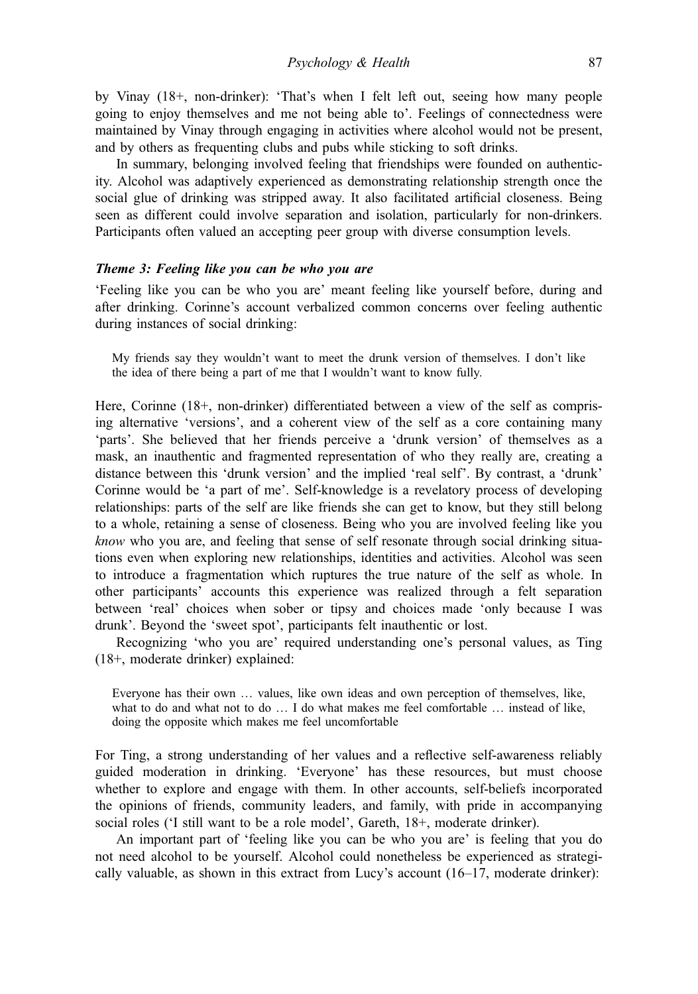by Vinay (18+, non-drinker): 'That's when I felt left out, seeing how many people going to enjoy themselves and me not being able to'. Feelings of connectedness were maintained by Vinay through engaging in activities where alcohol would not be present, and by others as frequenting clubs and pubs while sticking to soft drinks.

In summary, belonging involved feeling that friendships were founded on authenticity. Alcohol was adaptively experienced as demonstrating relationship strength once the social glue of drinking was stripped away. It also facilitated artificial closeness. Being seen as different could involve separation and isolation, particularly for non-drinkers. Participants often valued an accepting peer group with diverse consumption levels.

# Theme 3: Feeling like you can be who you are

'Feeling like you can be who you are' meant feeling like yourself before, during and after drinking. Corinne's account verbalized common concerns over feeling authentic during instances of social drinking:

My friends say they wouldn't want to meet the drunk version of themselves. I don't like the idea of there being a part of me that I wouldn't want to know fully.

Here, Corinne (18+, non-drinker) differentiated between a view of the self as comprising alternative 'versions', and a coherent view of the self as a core containing many 'parts'. She believed that her friends perceive a 'drunk version' of themselves as a mask, an inauthentic and fragmented representation of who they really are, creating a distance between this 'drunk version' and the implied 'real self'. By contrast, a 'drunk' Corinne would be 'a part of me'. Self-knowledge is a revelatory process of developing relationships: parts of the self are like friends she can get to know, but they still belong to a whole, retaining a sense of closeness. Being who you are involved feeling like you know who you are, and feeling that sense of self resonate through social drinking situations even when exploring new relationships, identities and activities. Alcohol was seen to introduce a fragmentation which ruptures the true nature of the self as whole. In other participants' accounts this experience was realized through a felt separation between 'real' choices when sober or tipsy and choices made 'only because I was drunk'. Beyond the 'sweet spot', participants felt inauthentic or lost.

Recognizing 'who you are' required understanding one's personal values, as Ting (18+, moderate drinker) explained:

Everyone has their own … values, like own ideas and own perception of themselves, like, what to do and what not to do … I do what makes me feel comfortable … instead of like, doing the opposite which makes me feel uncomfortable

For Ting, a strong understanding of her values and a reflective self-awareness reliably guided moderation in drinking. 'Everyone' has these resources, but must choose whether to explore and engage with them. In other accounts, self-beliefs incorporated the opinions of friends, community leaders, and family, with pride in accompanying social roles ('I still want to be a role model', Gareth, 18+, moderate drinker).

An important part of 'feeling like you can be who you are' is feeling that you do not need alcohol to be yourself. Alcohol could nonetheless be experienced as strategically valuable, as shown in this extract from Lucy's account (16–17, moderate drinker):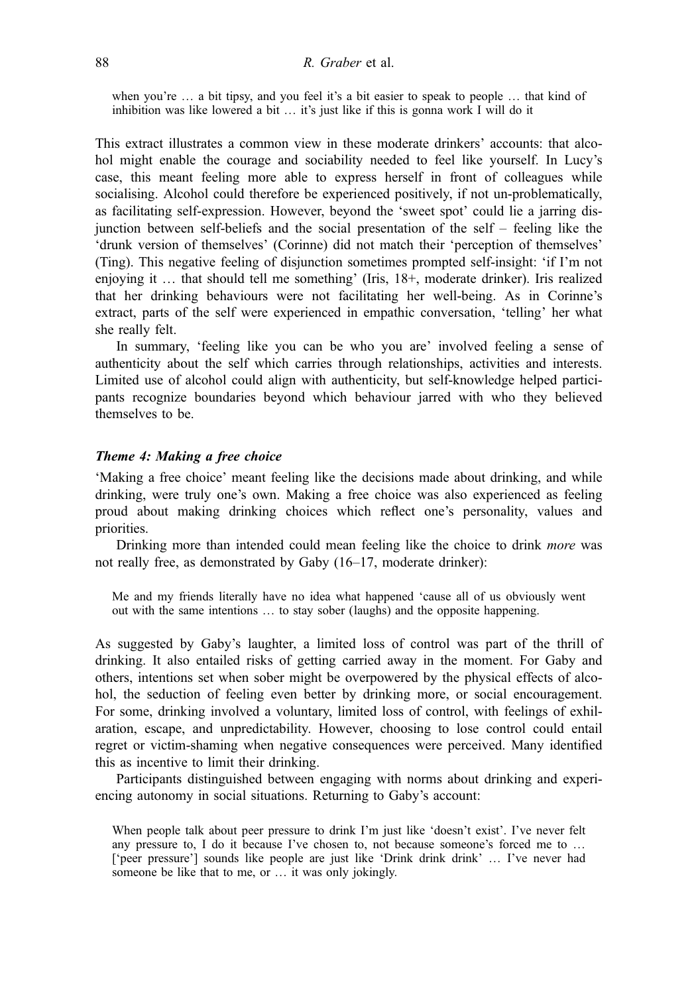when you're ... a bit tipsy, and you feel it's a bit easier to speak to people ... that kind of inhibition was like lowered a bit … it's just like if this is gonna work I will do it

This extract illustrates a common view in these moderate drinkers' accounts: that alcohol might enable the courage and sociability needed to feel like yourself. In Lucy's case, this meant feeling more able to express herself in front of colleagues while socialising. Alcohol could therefore be experienced positively, if not un-problematically, as facilitating self-expression. However, beyond the 'sweet spot' could lie a jarring disjunction between self-beliefs and the social presentation of the self – feeling like the 'drunk version of themselves' (Corinne) did not match their 'perception of themselves' (Ting). This negative feeling of disjunction sometimes prompted self-insight: 'if I'm not enjoying it … that should tell me something' (Iris, 18+, moderate drinker). Iris realized that her drinking behaviours were not facilitating her well-being. As in Corinne's extract, parts of the self were experienced in empathic conversation, 'telling' her what she really felt.

In summary, 'feeling like you can be who you are' involved feeling a sense of authenticity about the self which carries through relationships, activities and interests. Limited use of alcohol could align with authenticity, but self-knowledge helped participants recognize boundaries beyond which behaviour jarred with who they believed themselves to be.

#### Theme 4: Making a free choice

'Making a free choice' meant feeling like the decisions made about drinking, and while drinking, were truly one's own. Making a free choice was also experienced as feeling proud about making drinking choices which reflect one's personality, values and priorities.

Drinking more than intended could mean feeling like the choice to drink more was not really free, as demonstrated by Gaby (16–17, moderate drinker):

Me and my friends literally have no idea what happened 'cause all of us obviously went out with the same intentions … to stay sober (laughs) and the opposite happening.

As suggested by Gaby's laughter, a limited loss of control was part of the thrill of drinking. It also entailed risks of getting carried away in the moment. For Gaby and others, intentions set when sober might be overpowered by the physical effects of alcohol, the seduction of feeling even better by drinking more, or social encouragement. For some, drinking involved a voluntary, limited loss of control, with feelings of exhilaration, escape, and unpredictability. However, choosing to lose control could entail regret or victim-shaming when negative consequences were perceived. Many identified this as incentive to limit their drinking.

Participants distinguished between engaging with norms about drinking and experiencing autonomy in social situations. Returning to Gaby's account:

When people talk about peer pressure to drink I'm just like 'doesn't exist'. I've never felt any pressure to, I do it because I've chosen to, not because someone's forced me to … ['peer pressure'] sounds like people are just like 'Drink drink drink' … I've never had someone be like that to me, or … it was only jokingly.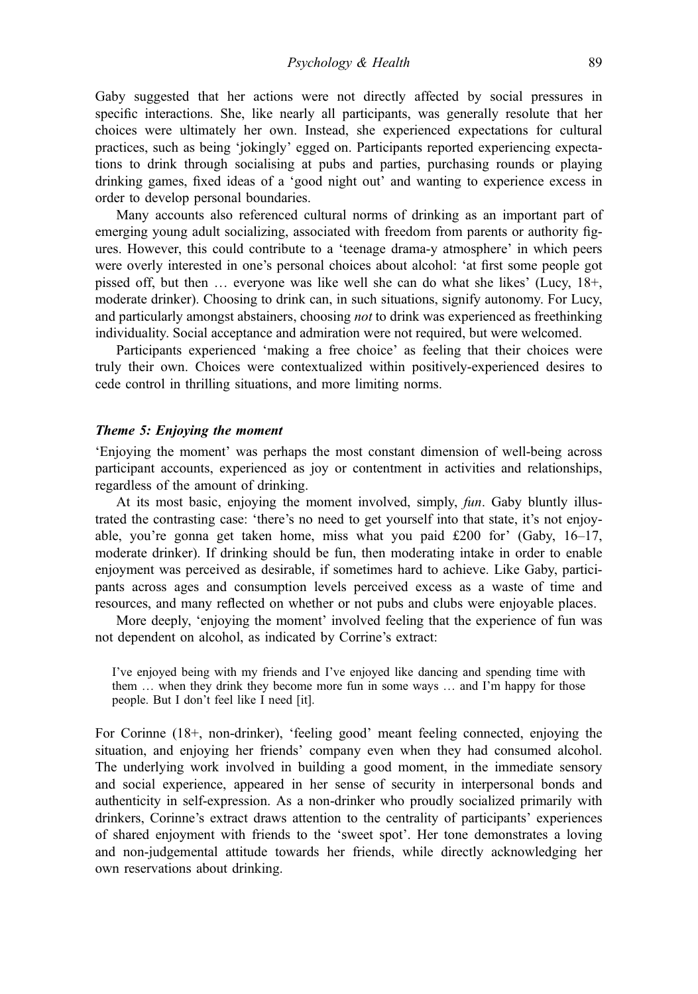Gaby suggested that her actions were not directly affected by social pressures in specific interactions. She, like nearly all participants, was generally resolute that her choices were ultimately her own. Instead, she experienced expectations for cultural practices, such as being 'jokingly' egged on. Participants reported experiencing expectations to drink through socialising at pubs and parties, purchasing rounds or playing drinking games, fixed ideas of a 'good night out' and wanting to experience excess in order to develop personal boundaries.

Many accounts also referenced cultural norms of drinking as an important part of emerging young adult socializing, associated with freedom from parents or authority figures. However, this could contribute to a 'teenage drama-y atmosphere' in which peers were overly interested in one's personal choices about alcohol: 'at first some people got pissed off, but then … everyone was like well she can do what she likes' (Lucy, 18+, moderate drinker). Choosing to drink can, in such situations, signify autonomy. For Lucy, and particularly amongst abstainers, choosing *not* to drink was experienced as freethinking individuality. Social acceptance and admiration were not required, but were welcomed.

Participants experienced 'making a free choice' as feeling that their choices were truly their own. Choices were contextualized within positively-experienced desires to cede control in thrilling situations, and more limiting norms.

#### Theme 5: Enjoying the moment

'Enjoying the moment' was perhaps the most constant dimension of well-being across participant accounts, experienced as joy or contentment in activities and relationships, regardless of the amount of drinking.

At its most basic, enjoying the moment involved, simply, *fun*. Gaby bluntly illustrated the contrasting case: 'there's no need to get yourself into that state, it's not enjoyable, you're gonna get taken home, miss what you paid  $£200$  for' (Gaby,  $16-17$ , moderate drinker). If drinking should be fun, then moderating intake in order to enable enjoyment was perceived as desirable, if sometimes hard to achieve. Like Gaby, participants across ages and consumption levels perceived excess as a waste of time and resources, and many reflected on whether or not pubs and clubs were enjoyable places.

More deeply, 'enjoying the moment' involved feeling that the experience of fun was not dependent on alcohol, as indicated by Corrine's extract:

I've enjoyed being with my friends and I've enjoyed like dancing and spending time with them … when they drink they become more fun in some ways … and I'm happy for those people. But I don't feel like I need [it].

For Corinne (18+, non-drinker), 'feeling good' meant feeling connected, enjoying the situation, and enjoying her friends' company even when they had consumed alcohol. The underlying work involved in building a good moment, in the immediate sensory and social experience, appeared in her sense of security in interpersonal bonds and authenticity in self-expression. As a non-drinker who proudly socialized primarily with drinkers, Corinne's extract draws attention to the centrality of participants' experiences of shared enjoyment with friends to the 'sweet spot'. Her tone demonstrates a loving and non-judgemental attitude towards her friends, while directly acknowledging her own reservations about drinking.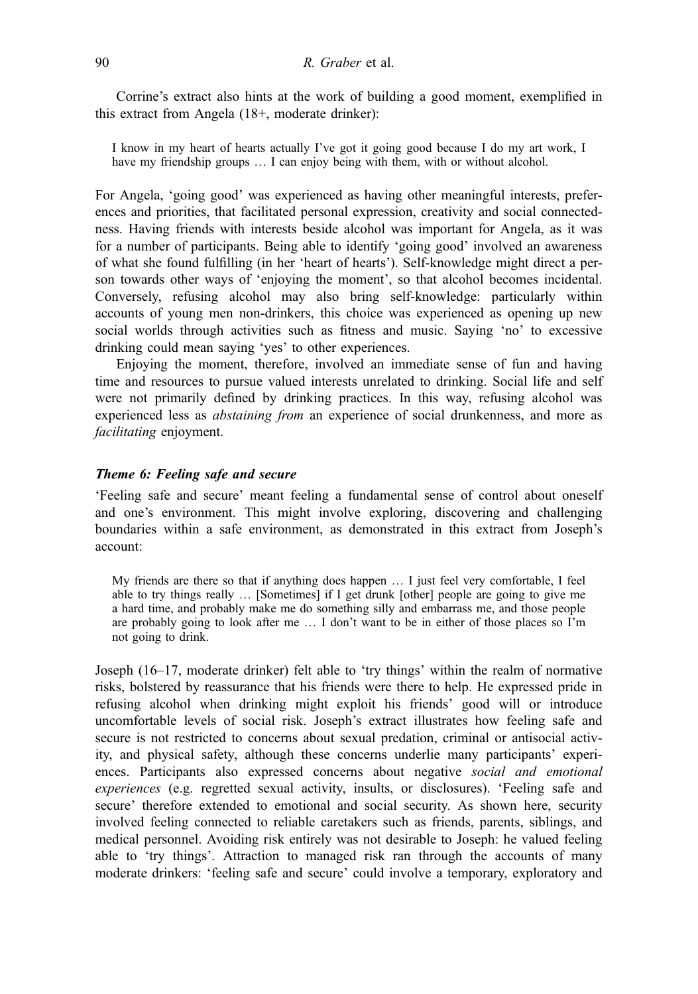Corrine's extract also hints at the work of building a good moment, exemplified in this extract from Angela (18+, moderate drinker):

I know in my heart of hearts actually I've got it going good because I do my art work, I have my friendship groups ... I can enjoy being with them, with or without alcohol.

For Angela, 'going good' was experienced as having other meaningful interests, preferences and priorities, that facilitated personal expression, creativity and social connectedness. Having friends with interests beside alcohol was important for Angela, as it was for a number of participants. Being able to identify 'going good' involved an awareness of what she found fulfilling (in her 'heart of hearts'). Self-knowledge might direct a person towards other ways of 'enjoying the moment', so that alcohol becomes incidental. Conversely, refusing alcohol may also bring self-knowledge: particularly within accounts of young men non-drinkers, this choice was experienced as opening up new social worlds through activities such as fitness and music. Saying 'no' to excessive drinking could mean saying 'yes' to other experiences.

Enjoying the moment, therefore, involved an immediate sense of fun and having time and resources to pursue valued interests unrelated to drinking. Social life and self were not primarily defined by drinking practices. In this way, refusing alcohol was experienced less as *abstaining from* an experience of social drunkenness, and more as facilitating enjoyment.

# Theme 6: Feeling safe and secure

'Feeling safe and secure' meant feeling a fundamental sense of control about oneself and one's environment. This might involve exploring, discovering and challenging boundaries within a safe environment, as demonstrated in this extract from Joseph's account:

My friends are there so that if anything does happen … I just feel very comfortable, I feel able to try things really … [Sometimes] if I get drunk [other] people are going to give me a hard time, and probably make me do something silly and embarrass me, and those people are probably going to look after me … I don't want to be in either of those places so I'm not going to drink.

Joseph (16–17, moderate drinker) felt able to 'try things' within the realm of normative risks, bolstered by reassurance that his friends were there to help. He expressed pride in refusing alcohol when drinking might exploit his friends' good will or introduce uncomfortable levels of social risk. Joseph's extract illustrates how feeling safe and secure is not restricted to concerns about sexual predation, criminal or antisocial activity, and physical safety, although these concerns underlie many participants' experiences. Participants also expressed concerns about negative social and emotional experiences (e.g. regretted sexual activity, insults, or disclosures). 'Feeling safe and secure' therefore extended to emotional and social security. As shown here, security involved feeling connected to reliable caretakers such as friends, parents, siblings, and medical personnel. Avoiding risk entirely was not desirable to Joseph: he valued feeling able to 'try things'. Attraction to managed risk ran through the accounts of many moderate drinkers: 'feeling safe and secure' could involve a temporary, exploratory and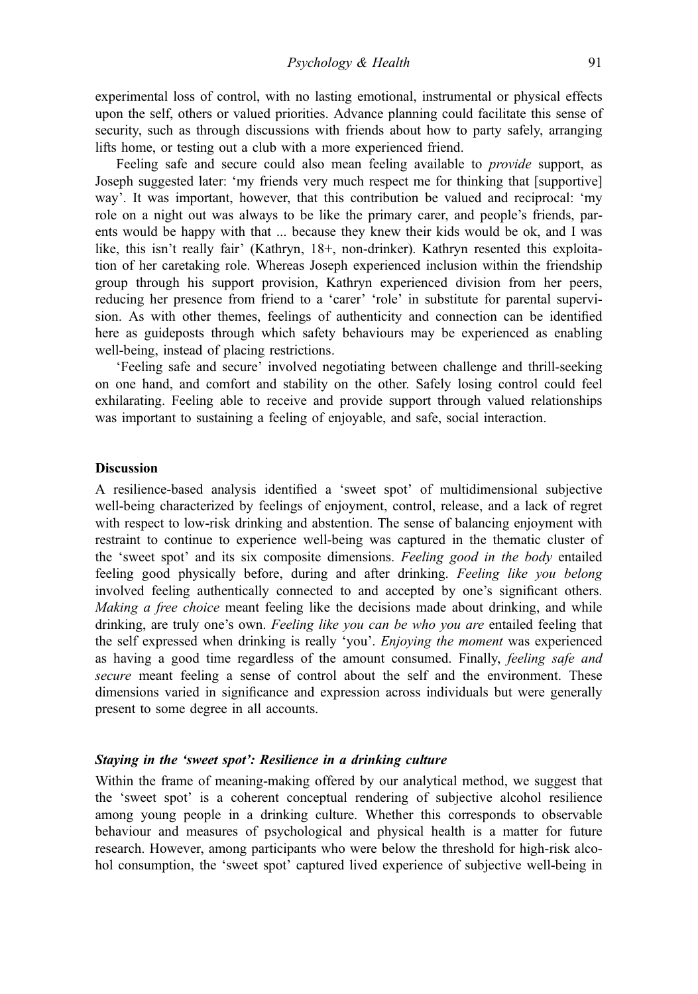experimental loss of control, with no lasting emotional, instrumental or physical effects upon the self, others or valued priorities. Advance planning could facilitate this sense of security, such as through discussions with friends about how to party safely, arranging lifts home, or testing out a club with a more experienced friend.

Feeling safe and secure could also mean feeling available to *provide* support, as Joseph suggested later: 'my friends very much respect me for thinking that [supportive] way'. It was important, however, that this contribution be valued and reciprocal: 'my role on a night out was always to be like the primary carer, and people's friends, parents would be happy with that ... because they knew their kids would be ok, and I was like, this isn't really fair' (Kathryn, 18+, non-drinker). Kathryn resented this exploitation of her caretaking role. Whereas Joseph experienced inclusion within the friendship group through his support provision, Kathryn experienced division from her peers, reducing her presence from friend to a 'carer' 'role' in substitute for parental supervision. As with other themes, feelings of authenticity and connection can be identified here as guideposts through which safety behaviours may be experienced as enabling well-being, instead of placing restrictions.

'Feeling safe and secure' involved negotiating between challenge and thrill-seeking on one hand, and comfort and stability on the other. Safely losing control could feel exhilarating. Feeling able to receive and provide support through valued relationships was important to sustaining a feeling of enjoyable, and safe, social interaction.

#### **Discussion**

A resilience-based analysis identified a 'sweet spot' of multidimensional subjective well-being characterized by feelings of enjoyment, control, release, and a lack of regret with respect to low-risk drinking and abstention. The sense of balancing enjoyment with restraint to continue to experience well-being was captured in the thematic cluster of the 'sweet spot' and its six composite dimensions. Feeling good in the body entailed feeling good physically before, during and after drinking. Feeling like you belong involved feeling authentically connected to and accepted by one's significant others. Making a free choice meant feeling like the decisions made about drinking, and while drinking, are truly one's own. Feeling like you can be who you are entailed feeling that the self expressed when drinking is really 'you'. Enjoying the moment was experienced as having a good time regardless of the amount consumed. Finally, feeling safe and secure meant feeling a sense of control about the self and the environment. These dimensions varied in significance and expression across individuals but were generally present to some degree in all accounts.

# Staying in the 'sweet spot': Resilience in a drinking culture

Within the frame of meaning-making offered by our analytical method, we suggest that the 'sweet spot' is a coherent conceptual rendering of subjective alcohol resilience among young people in a drinking culture. Whether this corresponds to observable behaviour and measures of psychological and physical health is a matter for future research. However, among participants who were below the threshold for high-risk alcohol consumption, the 'sweet spot' captured lived experience of subjective well-being in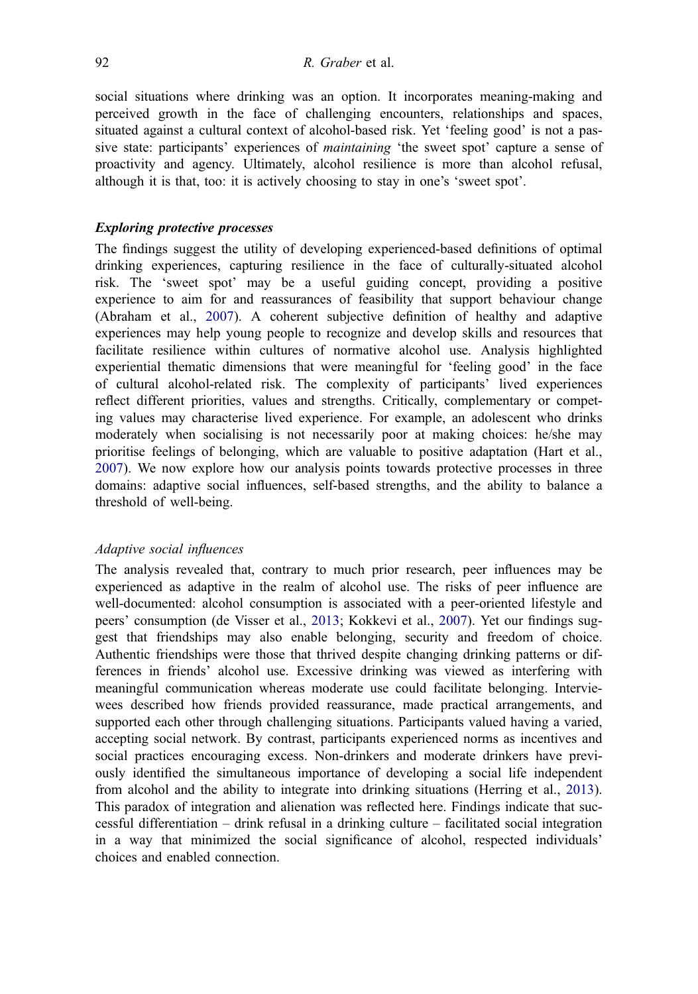social situations where drinking was an option. It incorporates meaning-making and perceived growth in the face of challenging encounters, relationships and spaces, situated against a cultural context of alcohol-based risk. Yet 'feeling good' is not a passive state: participants' experiences of *maintaining* 'the sweet spot' capture a sense of proactivity and agency. Ultimately, alcohol resilience is more than alcohol refusal, although it is that, too: it is actively choosing to stay in one's 'sweet spot'.

# Exploring protective processes

The findings suggest the utility of developing experienced-based definitions of optimal drinking experiences, capturing resilience in the face of culturally-situated alcohol risk. The 'sweet spot' may be a useful guiding concept, providing a positive experience to aim for and reassurances of feasibility that support behaviour change (Abraham et al., [2007](#page-18-0)). A coherent subjective definition of healthy and adaptive experiences may help young people to recognize and develop skills and resources that facilitate resilience within cultures of normative alcohol use. Analysis highlighted experiential thematic dimensions that were meaningful for 'feeling good' in the face of cultural alcohol-related risk. The complexity of participants' lived experiences reflect different priorities, values and strengths. Critically, complementary or competing values may characterise lived experience. For example, an adolescent who drinks moderately when socialising is not necessarily poor at making choices: he/she may prioritise feelings of belonging, which are valuable to positive adaptation (Hart et al., [2007](#page-20-0)). We now explore how our analysis points towards protective processes in three domains: adaptive social influences, self-based strengths, and the ability to balance a threshold of well-being.

#### Adaptive social influences

The analysis revealed that, contrary to much prior research, peer influences may be experienced as adaptive in the realm of alcohol use. The risks of peer influence are well-documented: alcohol consumption is associated with a peer-oriented lifestyle and peers' consumption (de Visser et al., [2013](#page-19-0); Kokkevi et al., [2007](#page-20-0)). Yet our findings suggest that friendships may also enable belonging, security and freedom of choice. Authentic friendships were those that thrived despite changing drinking patterns or differences in friends' alcohol use. Excessive drinking was viewed as interfering with meaningful communication whereas moderate use could facilitate belonging. Interviewees described how friends provided reassurance, made practical arrangements, and supported each other through challenging situations. Participants valued having a varied, accepting social network. By contrast, participants experienced norms as incentives and social practices encouraging excess. Non-drinkers and moderate drinkers have previously identified the simultaneous importance of developing a social life independent from alcohol and the ability to integrate into drinking situations (Herring et al., [2013](#page-20-0)). This paradox of integration and alienation was reflected here. Findings indicate that successful differentiation – drink refusal in a drinking culture – facilitated social integration in a way that minimized the social significance of alcohol, respected individuals' choices and enabled connection.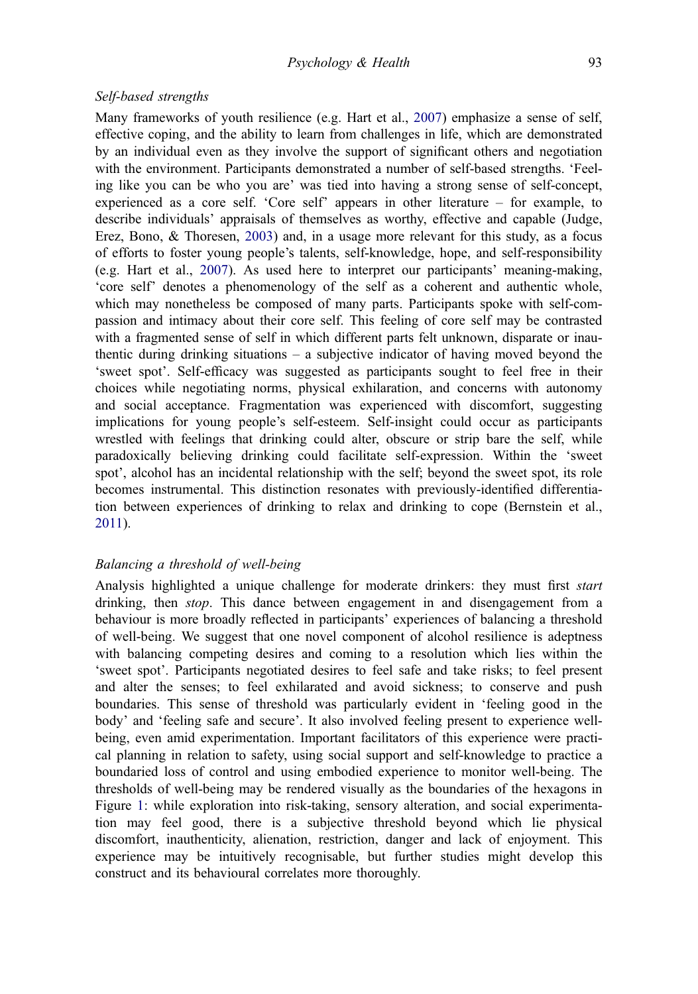#### Self-based strengths

Many frameworks of youth resilience (e.g. Hart et al., [2007](#page-20-0)) emphasize a sense of self, effective coping, and the ability to learn from challenges in life, which are demonstrated by an individual even as they involve the support of significant others and negotiation with the environment. Participants demonstrated a number of self-based strengths. 'Feeling like you can be who you are' was tied into having a strong sense of self-concept, experienced as a core self. 'Core self' appears in other literature – for example, to describe individuals' appraisals of themselves as worthy, effective and capable (Judge, Erez, Bono, & Thoresen, [2003](#page-20-0)) and, in a usage more relevant for this study, as a focus of efforts to foster young people's talents, self-knowledge, hope, and self-responsibility (e.g. Hart et al., [2007](#page-20-0)). As used here to interpret our participants' meaning-making, 'core self' denotes a phenomenology of the self as a coherent and authentic whole, which may nonetheless be composed of many parts. Participants spoke with self-compassion and intimacy about their core self. This feeling of core self may be contrasted with a fragmented sense of self in which different parts felt unknown, disparate or inauthentic during drinking situations – a subjective indicator of having moved beyond the 'sweet spot'. Self-efficacy was suggested as participants sought to feel free in their choices while negotiating norms, physical exhilaration, and concerns with autonomy and social acceptance. Fragmentation was experienced with discomfort, suggesting implications for young people's self-esteem. Self-insight could occur as participants wrestled with feelings that drinking could alter, obscure or strip bare the self, while paradoxically believing drinking could facilitate self-expression. Within the 'sweet spot', alcohol has an incidental relationship with the self; beyond the sweet spot, its role becomes instrumental. This distinction resonates with previously-identified differentiation between experiences of drinking to relax and drinking to cope (Bernstein et al., [2011\)](#page-19-0).

# Balancing a threshold of well-being

Analysis highlighted a unique challenge for moderate drinkers: they must first *start* drinking, then *stop*. This dance between engagement in and disengagement from a behaviour is more broadly reflected in participants' experiences of balancing a threshold of well-being. We suggest that one novel component of alcohol resilience is adeptness with balancing competing desires and coming to a resolution which lies within the 'sweet spot'. Participants negotiated desires to feel safe and take risks; to feel present and alter the senses; to feel exhilarated and avoid sickness; to conserve and push boundaries. This sense of threshold was particularly evident in 'feeling good in the body' and 'feeling safe and secure'. It also involved feeling present to experience wellbeing, even amid experimentation. Important facilitators of this experience were practical planning in relation to safety, using social support and self-knowledge to practice a boundaried loss of control and using embodied experience to monitor well-being. The thresholds of well-being may be rendered visually as the boundaries of the hexagons in Figure [1:](#page-6-0) while exploration into risk-taking, sensory alteration, and social experimentation may feel good, there is a subjective threshold beyond which lie physical discomfort, inauthenticity, alienation, restriction, danger and lack of enjoyment. This experience may be intuitively recognisable, but further studies might develop this construct and its behavioural correlates more thoroughly.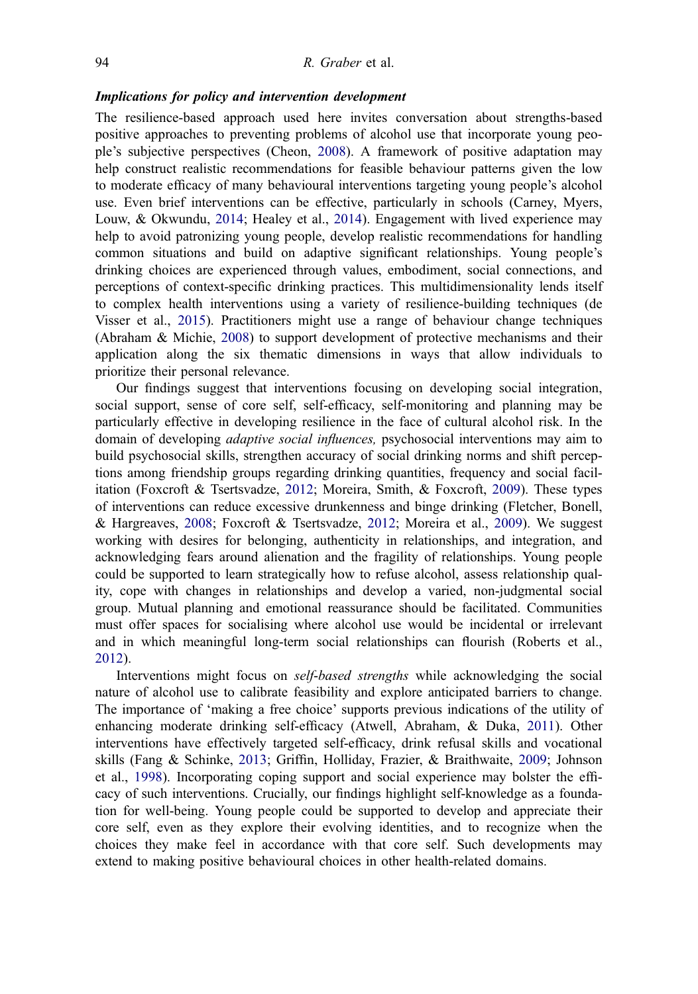#### 94 R. Graber et al.

# Implications for policy and intervention development

The resilience-based approach used here invites conversation about strengths-based positive approaches to preventing problems of alcohol use that incorporate young people's subjective perspectives (Cheon, [2008\)](#page-19-0). A framework of positive adaptation may help construct realistic recommendations for feasible behaviour patterns given the low to moderate efficacy of many behavioural interventions targeting young people's alcohol use. Even brief interventions can be effective, particularly in schools (Carney, Myers, Louw, & Okwundu, [2014](#page-19-0); Healey et al., [2014](#page-20-0)). Engagement with lived experience may help to avoid patronizing young people, develop realistic recommendations for handling common situations and build on adaptive significant relationships. Young people's drinking choices are experienced through values, embodiment, social connections, and perceptions of context-specific drinking practices. This multidimensionality lends itself to complex health interventions using a variety of resilience-building techniques (de Visser et al., [2015\)](#page-19-0). Practitioners might use a range of behaviour change techniques (Abraham & Michie, [2008](#page-18-0)) to support development of protective mechanisms and their application along the six thematic dimensions in ways that allow individuals to prioritize their personal relevance.

Our findings suggest that interventions focusing on developing social integration, social support, sense of core self, self-efficacy, self-monitoring and planning may be particularly effective in developing resilience in the face of cultural alcohol risk. In the domain of developing *adaptive social influences*, psychosocial interventions may aim to build psychosocial skills, strengthen accuracy of social drinking norms and shift perceptions among friendship groups regarding drinking quantities, frequency and social facilitation (Foxcroft & Tsertsvadze, [2012;](#page-20-0) Moreira, Smith, & Foxcroft, [2009](#page-20-0)). These types of interventions can reduce excessive drunkenness and binge drinking (Fletcher, Bonell, & Hargreaves, [2008](#page-20-0); Foxcroft & Tsertsvadze, [2012;](#page-20-0) Moreira et al., [2009](#page-20-0)). We suggest working with desires for belonging, authenticity in relationships, and integration, and acknowledging fears around alienation and the fragility of relationships. Young people could be supported to learn strategically how to refuse alcohol, assess relationship quality, cope with changes in relationships and develop a varied, non-judgmental social group. Mutual planning and emotional reassurance should be facilitated. Communities must offer spaces for socialising where alcohol use would be incidental or irrelevant and in which meaningful long-term social relationships can flourish (Roberts et al., [2012](#page-21-0)).

Interventions might focus on *self-based strengths* while acknowledging the social nature of alcohol use to calibrate feasibility and explore anticipated barriers to change. The importance of 'making a free choice' supports previous indications of the utility of enhancing moderate drinking self-efficacy (Atwell, Abraham, & Duka, [2011](#page-19-0)). Other interventions have effectively targeted self-efficacy, drink refusal skills and vocational skills (Fang & Schinke, [2013;](#page-19-0) Griffin, Holliday, Frazier, & Braithwaite, [2009;](#page-20-0) Johnson et al., [1998\)](#page-20-0). Incorporating coping support and social experience may bolster the efficacy of such interventions. Crucially, our findings highlight self-knowledge as a foundation for well-being. Young people could be supported to develop and appreciate their core self, even as they explore their evolving identities, and to recognize when the choices they make feel in accordance with that core self. Such developments may extend to making positive behavioural choices in other health-related domains.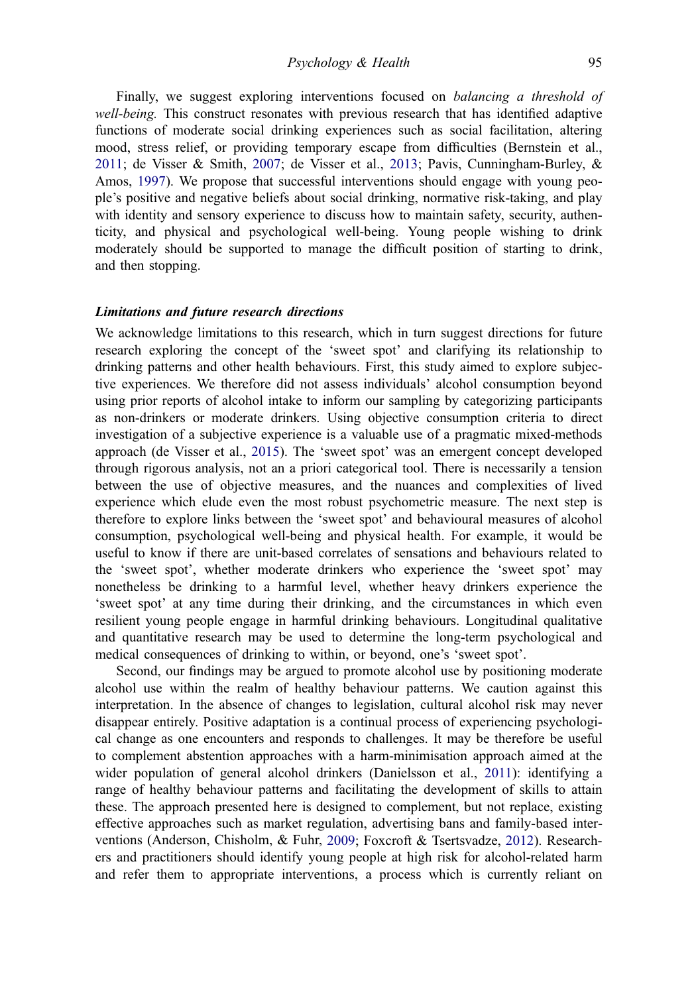Finally, we suggest exploring interventions focused on *balancing a threshold of* well-being. This construct resonates with previous research that has identified adaptive functions of moderate social drinking experiences such as social facilitation, altering mood, stress relief, or providing temporary escape from difficulties (Bernstein et al., [2011;](#page-19-0) de Visser & Smith, [2007;](#page-19-0) de Visser et al., [2013;](#page-19-0) Pavis, Cunningham-Burley, & Amos, [1997](#page-20-0)). We propose that successful interventions should engage with young people's positive and negative beliefs about social drinking, normative risk-taking, and play with identity and sensory experience to discuss how to maintain safety, security, authenticity, and physical and psychological well-being. Young people wishing to drink moderately should be supported to manage the difficult position of starting to drink, and then stopping.

# Limitations and future research directions

We acknowledge limitations to this research, which in turn suggest directions for future research exploring the concept of the 'sweet spot' and clarifying its relationship to drinking patterns and other health behaviours. First, this study aimed to explore subjective experiences. We therefore did not assess individuals' alcohol consumption beyond using prior reports of alcohol intake to inform our sampling by categorizing participants as non-drinkers or moderate drinkers. Using objective consumption criteria to direct investigation of a subjective experience is a valuable use of a pragmatic mixed-methods approach (de Visser et al., [2015\)](#page-19-0). The 'sweet spot' was an emergent concept developed through rigorous analysis, not an a priori categorical tool. There is necessarily a tension between the use of objective measures, and the nuances and complexities of lived experience which elude even the most robust psychometric measure. The next step is therefore to explore links between the 'sweet spot' and behavioural measures of alcohol consumption, psychological well-being and physical health. For example, it would be useful to know if there are unit-based correlates of sensations and behaviours related to the 'sweet spot', whether moderate drinkers who experience the 'sweet spot' may nonetheless be drinking to a harmful level, whether heavy drinkers experience the 'sweet spot' at any time during their drinking, and the circumstances in which even resilient young people engage in harmful drinking behaviours. Longitudinal qualitative and quantitative research may be used to determine the long-term psychological and medical consequences of drinking to within, or beyond, one's 'sweet spot'.

Second, our findings may be argued to promote alcohol use by positioning moderate alcohol use within the realm of healthy behaviour patterns. We caution against this interpretation. In the absence of changes to legislation, cultural alcohol risk may never disappear entirely. Positive adaptation is a continual process of experiencing psychological change as one encounters and responds to challenges. It may be therefore be useful to complement abstention approaches with a harm-minimisation approach aimed at the wider population of general alcohol drinkers (Danielsson et al., [2011](#page-19-0)): identifying a range of healthy behaviour patterns and facilitating the development of skills to attain these. The approach presented here is designed to complement, but not replace, existing effective approaches such as market regulation, advertising bans and family-based interventions (Anderson, Chisholm, & Fuhr, [2009](#page-19-0); Foxcroft & Tsertsvadze, [2012\)](#page-20-0). Researchers and practitioners should identify young people at high risk for alcohol-related harm and refer them to appropriate interventions, a process which is currently reliant on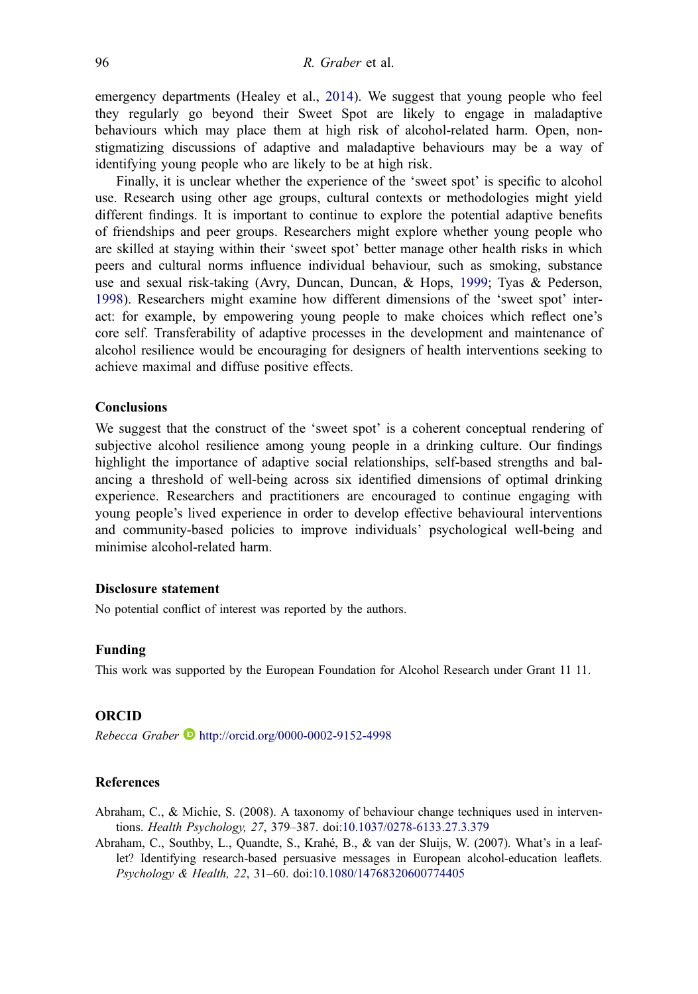<span id="page-18-0"></span>emergency departments (Healey et al., [2014](#page-20-0)). We suggest that young people who feel they regularly go beyond their Sweet Spot are likely to engage in maladaptive behaviours which may place them at high risk of alcohol-related harm. Open, nonstigmatizing discussions of adaptive and maladaptive behaviours may be a way of identifying young people who are likely to be at high risk.

Finally, it is unclear whether the experience of the 'sweet spot' is specific to alcohol use. Research using other age groups, cultural contexts or methodologies might yield different findings. It is important to continue to explore the potential adaptive benefits of friendships and peer groups. Researchers might explore whether young people who are skilled at staying within their 'sweet spot' better manage other health risks in which peers and cultural norms influence individual behaviour, such as smoking, substance use and sexual risk-taking (Avry, Duncan, Duncan, & Hops, [1999;](#page-19-0) Tyas & Pederson, [1998](#page-21-0)). Researchers might examine how different dimensions of the 'sweet spot' interact: for example, by empowering young people to make choices which reflect one's core self. Transferability of adaptive processes in the development and maintenance of alcohol resilience would be encouraging for designers of health interventions seeking to achieve maximal and diffuse positive effects.

# Conclusions

We suggest that the construct of the 'sweet spot' is a coherent conceptual rendering of subjective alcohol resilience among young people in a drinking culture. Our findings highlight the importance of adaptive social relationships, self-based strengths and balancing a threshold of well-being across six identified dimensions of optimal drinking experience. Researchers and practitioners are encouraged to continue engaging with young people's lived experience in order to develop effective behavioural interventions and community-based policies to improve individuals' psychological well-being and minimise alcohol-related harm.

#### Disclosure statement

No potential conflict of interest was reported by the authors.

#### Funding

This work was supported by the European Foundation for Alcohol Research under Grant 11 11.

#### ORCID

 $Rebecca$  Graber  $\blacksquare$  <http://orcid.org/0000-0002-9152-4998>

#### References

Abraham, C., & Michie, S. (2008). A taxonomy of behaviour change techniques used in interventions. Health Psychology, 27, 379–387. doi[:10.1037/0278-6133.27.3.379](http://dx.doi.org/10.1037/0278-6133.27.3.379)

Abraham, C., Southby, L., Quandte, S., Krahé, B., & van der Sluijs, W. (2007). What's in a leaflet? Identifying research-based persuasive messages in European alcohol-education leaflets. Psychology & Health, 22, 31–60. doi:[10.1080/14768320600774405](http://dx.doi.org/10.1080/14768320600774405)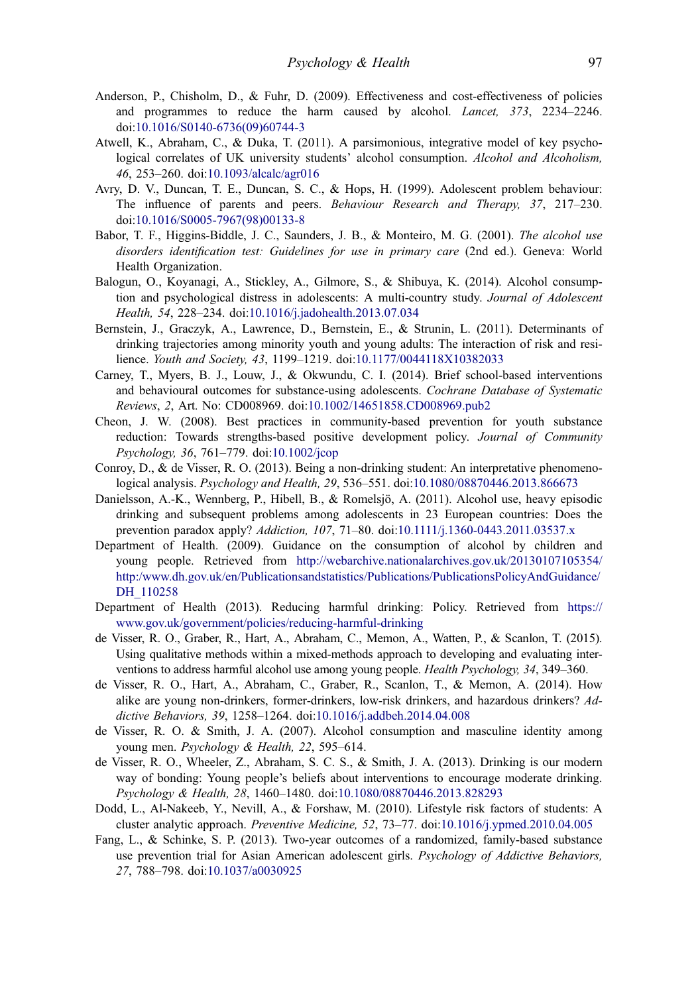- <span id="page-19-0"></span>Anderson, P., Chisholm, D., & Fuhr, D. (2009). Effectiveness and cost-effectiveness of policies and programmes to reduce the harm caused by alcohol. *Lancet*, 373, 2234–2246. doi:[10.1016/S0140-6736\(09\)60744-3](http://dx.doi.org/10.1016/S0140-6736(09)60744-3)
- Atwell, K., Abraham, C., & Duka, T. (2011). A parsimonious, integrative model of key psychological correlates of UK university students' alcohol consumption. Alcohol and Alcoholism, 46, 253–260. doi:[10.1093/alcalc/agr016](http://dx.doi.org/10.1093/alcalc/agr016)
- Avry, D. V., Duncan, T. E., Duncan, S. C., & Hops, H. (1999). Adolescent problem behaviour: The influence of parents and peers. Behaviour Research and Therapy, 37, 217–230. doi:[10.1016/S0005-7967\(98\)00133-8](http://dx.doi.org/10.1016/S0005-7967(98)00133-8)
- Babor, T. F., Higgins-Biddle, J. C., Saunders, J. B., & Monteiro, M. G. (2001). The alcohol use disorders identification test: Guidelines for use in primary care (2nd ed.). Geneva: World Health Organization.
- Balogun, O., Koyanagi, A., Stickley, A., Gilmore, S., & Shibuya, K. (2014). Alcohol consumption and psychological distress in adolescents: A multi-country study. Journal of Adolescent Health, 54, 228–234. doi[:10.1016/j.jadohealth.2013.07.034](http://dx.doi.org/10.1016/j.jadohealth.2013.07.034)
- Bernstein, J., Graczyk, A., Lawrence, D., Bernstein, E., & Strunin, L. (2011). Determinants of drinking trajectories among minority youth and young adults: The interaction of risk and resilience. Youth and Society, 43, 1199–1219. doi[:10.1177/0044118X10382033](http://dx.doi.org/10.1177/0044118X10382033)
- Carney, T., Myers, B. J., Louw, J., & Okwundu, C. I. (2014). Brief school-based interventions and behavioural outcomes for substance-using adolescents. Cochrane Database of Systematic Reviews, 2, Art. No: CD008969. doi:[10.1002/14651858.CD008969.pub2](http://dx.doi.org/10.1002/14651858.CD008969.pub2)
- Cheon, J. W. (2008). Best practices in community-based prevention for youth substance reduction: Towards strengths-based positive development policy. Journal of Community Psychology, 36, 761–779. doi[:10.1002/jcop](http://dx.doi.org/10.1002/jcop)
- Conroy, D., & de Visser, R. O. (2013). Being a non-drinking student: An interpretative phenomenological analysis. *Psychology and Health, 29, 536–551, doi[:10.1080/08870446.2013.866673](http://dx.doi.org/10.1080/08870446.2013.866673)*
- Danielsson, A.-K., Wennberg, P., Hibell, B., & Romelsjö, A. (2011). Alcohol use, heavy episodic drinking and subsequent problems among adolescents in 23 European countries: Does the prevention paradox apply? *Addiction, 107, 71–80.* doi[:10.1111/j.1360-0443.2011.03537.x](http://dx.doi.org/10.1111/j.1360-0443.2011.03537.x)
- Department of Health. (2009). Guidance on the consumption of alcohol by children and young people. Retrieved from [http://webarchive.nationalarchives.gov.uk/20130107105354/](http://webarchive.nationalarchives.gov.uk/20130107105354/http:/www.dh.gov.uk/en/Publicationsandstatistics/Publications/PublicationsPolicyAndGuidance/DH_110258) [http:/www.dh.gov.uk/en/Publicationsandstatistics/Publications/PublicationsPolicyAndGuidance/](http://webarchive.nationalarchives.gov.uk/20130107105354/http:/www.dh.gov.uk/en/Publicationsandstatistics/Publications/PublicationsPolicyAndGuidance/DH_110258) DH 110258
- Department of Health (2013). Reducing harmful drinking: Policy. Retrieved from [https://](https://www.gov.uk/government/policies/reducing-harmful-drinking) [www.gov.uk/government/policies/reducing-harmful-drinking](https://www.gov.uk/government/policies/reducing-harmful-drinking)
- de Visser, R. O., Graber, R., Hart, A., Abraham, C., Memon, A., Watten, P., & Scanlon, T. (2015). Using qualitative methods within a mixed-methods approach to developing and evaluating interventions to address harmful alcohol use among young people. Health Psychology, 34, 349–360.
- de Visser, R. O., Hart, A., Abraham, C., Graber, R., Scanlon, T., & Memon, A. (2014). How alike are young non-drinkers, former-drinkers, low-risk drinkers, and hazardous drinkers? Addictive Behaviors, 39, 1258–1264. doi[:10.1016/j.addbeh.2014.04.008](http://dx.doi.org/10.1016/j.addbeh.2014.04.008)
- de Visser, R. O. & Smith, J. A. (2007). Alcohol consumption and masculine identity among young men. Psychology & Health, 22, 595–614.
- de Visser, R. O., Wheeler, Z., Abraham, S. C. S., & Smith, J. A. (2013). Drinking is our modern way of bonding: Young people's beliefs about interventions to encourage moderate drinking. Psychology & Health, 28, 1460–1480. doi:[10.1080/08870446.2013.828293](http://dx.doi.org/10.1080/08870446.2013.828293)
- Dodd, L., Al-Nakeeb, Y., Nevill, A., & Forshaw, M. (2010). Lifestyle risk factors of students: A cluster analytic approach. Preventive Medicine, 52, 73–77. doi:[10.1016/j.ypmed.2010.04.005](http://dx.doi.org/10.1016/j.ypmed.2010.04.005)
- Fang, L., & Schinke, S. P. (2013). Two-year outcomes of a randomized, family-based substance use prevention trial for Asian American adolescent girls. Psychology of Addictive Behaviors, 27, 788–798. doi:[10.1037/a0030925](http://dx.doi.org/10.1037/a0030925)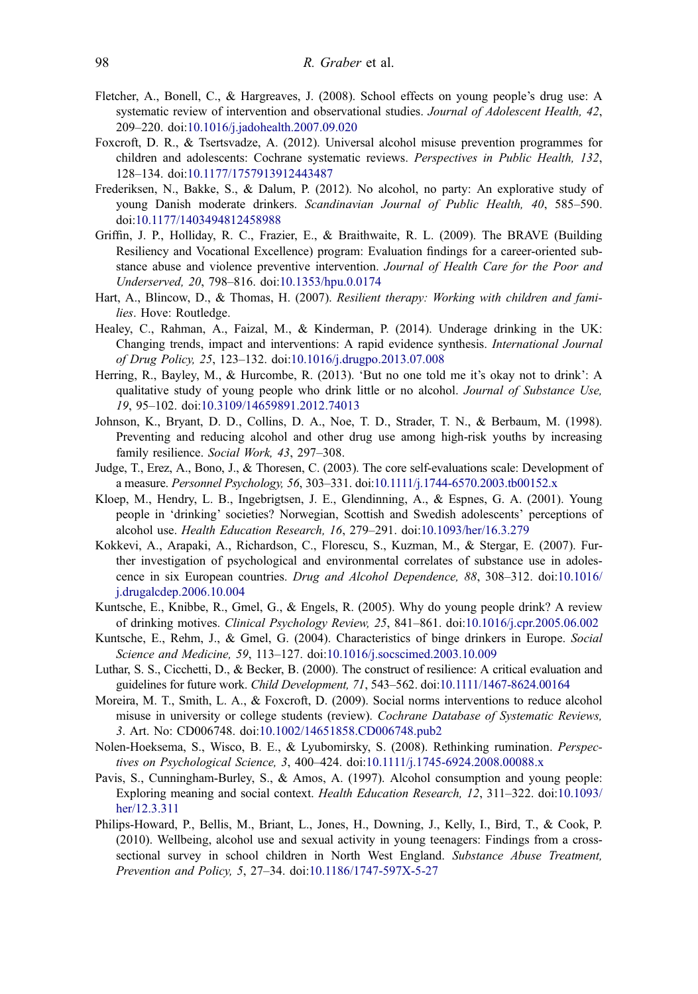- <span id="page-20-0"></span>Fletcher, A., Bonell, C., & Hargreaves, J. (2008). School effects on young people's drug use: A systematic review of intervention and observational studies. Journal of Adolescent Health, 42, 209–220. doi[:10.1016/j.jadohealth.2007.09.020](http://dx.doi.org/10.1016/j.jadohealth.2007.09.020)
- Foxcroft, D. R., & Tsertsvadze, A. (2012). Universal alcohol misuse prevention programmes for children and adolescents: Cochrane systematic reviews. Perspectives in Public Health, 132, 128–134. doi[:10.1177/1757913912443487](http://dx.doi.org/10.1177/1757913912443487)
- Frederiksen, N., Bakke, S., & Dalum, P. (2012). No alcohol, no party: An explorative study of young Danish moderate drinkers. Scandinavian Journal of Public Health, 40, 585–590. doi:[10.1177/1403494812458988](http://dx.doi.org/10.1177/1403494812458988)
- Griffin, J. P., Holliday, R. C., Frazier, E., & Braithwaite, R. L. (2009). The BRAVE (Building Resiliency and Vocational Excellence) program: Evaluation findings for a career-oriented substance abuse and violence preventive intervention. Journal of Health Care for the Poor and Underserved, 20, 798–816. doi:[10.1353/hpu.0.0174](http://dx.doi.org/10.1353/hpu.0.0174)
- Hart, A., Blincow, D., & Thomas, H. (2007). Resilient therapy: Working with children and families. Hove: Routledge.
- Healey, C., Rahman, A., Faizal, M., & Kinderman, P. (2014). Underage drinking in the UK: Changing trends, impact and interventions: A rapid evidence synthesis. International Journal of Drug Policy, 25, 123–132. doi:[10.1016/j.drugpo.2013.07.008](http://dx.doi.org/10.1016/j.drugpo.2013.07.008)
- Herring, R., Bayley, M., & Hurcombe, R. (2013). 'But no one told me it's okay not to drink': A qualitative study of young people who drink little or no alcohol. Journal of Substance Use, 19, 95–102. doi[:10.3109/14659891.2012.74013](http://dx.doi.org/10.3109/14659891.2012.74013)
- Johnson, K., Bryant, D. D., Collins, D. A., Noe, T. D., Strader, T. N., & Berbaum, M. (1998). Preventing and reducing alcohol and other drug use among high-risk youths by increasing family resilience. Social Work, 43, 297-308.
- Judge, T., Erez, A., Bono, J., & Thoresen, C. (2003). The core self-evaluations scale: Development of a measure. Personnel Psychology, 56, 303–331. doi:[10.1111/j.1744-6570.2003.tb00152.x](http://dx.doi.org/10.1111/j.1744-6570.2003.tb00152.x)
- Kloep, M., Hendry, L. B., Ingebrigtsen, J. E., Glendinning, A., & Espnes, G. A. (2001). Young people in 'drinking' societies? Norwegian, Scottish and Swedish adolescents' perceptions of alcohol use. Health Education Research, 16, 279–291. doi:[10.1093/her/16.3.279](http://dx.doi.org/10.1093/her/16.3.279)
- Kokkevi, A., Arapaki, A., Richardson, C., Florescu, S., Kuzman, M., & Stergar, E. (2007). Further investigation of psychological and environmental correlates of substance use in adolescence in six European countries. Drug and Alcohol Dependence, 88, 308–312. doi[:10.1016/](http://dx.doi.org/10.1016/j.drugalcdep.2006.10.004) [j.drugalcdep.2006.10.004](http://dx.doi.org/10.1016/j.drugalcdep.2006.10.004)
- Kuntsche, E., Knibbe, R., Gmel, G., & Engels, R. (2005). Why do young people drink? A review of drinking motives. Clinical Psychology Review, 25, 841–861. doi[:10.1016/j.cpr.2005.06.002](http://dx.doi.org/10.1016/j.cpr.2005.06.002)
- Kuntsche, E., Rehm, J., & Gmel, G. (2004). Characteristics of binge drinkers in Europe. Social Science and Medicine, 59, 113–127. doi[:10.1016/j.socscimed.2003.10.009](http://dx.doi.org/10.1016/j.socscimed.2003.10.009)
- Luthar, S. S., Cicchetti, D., & Becker, B. (2000). The construct of resilience: A critical evaluation and guidelines for future work. Child Development, 71, 543–562. doi[:10.1111/1467-8624.00164](http://dx.doi.org/10.1111/1467-8624.00164)
- Moreira, M. T., Smith, L. A., & Foxcroft, D. (2009). Social norms interventions to reduce alcohol misuse in university or college students (review). Cochrane Database of Systematic Reviews, 3. Art. No: CD006748. doi[:10.1002/14651858.CD006748.pub2](http://dx.doi.org/10.1002/14651858.CD006748.pub2)
- Nolen-Hoeksema, S., Wisco, B. E., & Lyubomirsky, S. (2008). Rethinking rumination. Perspectives on Psychological Science, 3, 400–424. doi:[10.1111/j.1745-6924.2008.00088.x](http://dx.doi.org/10.1111/j.1745-6924.2008.00088.x)
- Pavis, S., Cunningham-Burley, S., & Amos, A. (1997). Alcohol consumption and young people: Exploring meaning and social context. Health Education Research, 12, 311–322. doi[:10.1093/](http://dx.doi.org/10.1093/her/12.3.311) [her/12.3.311](http://dx.doi.org/10.1093/her/12.3.311)
- Philips-Howard, P., Bellis, M., Briant, L., Jones, H., Downing, J., Kelly, I., Bird, T., & Cook, P. (2010). Wellbeing, alcohol use and sexual activity in young teenagers: Findings from a crosssectional survey in school children in North West England. Substance Abuse Treatment, Prevention and Policy, 5, 27–34. doi:[10.1186/1747-597X-5-27](http://dx.doi.org/10.1186/1747-597X-5-27)